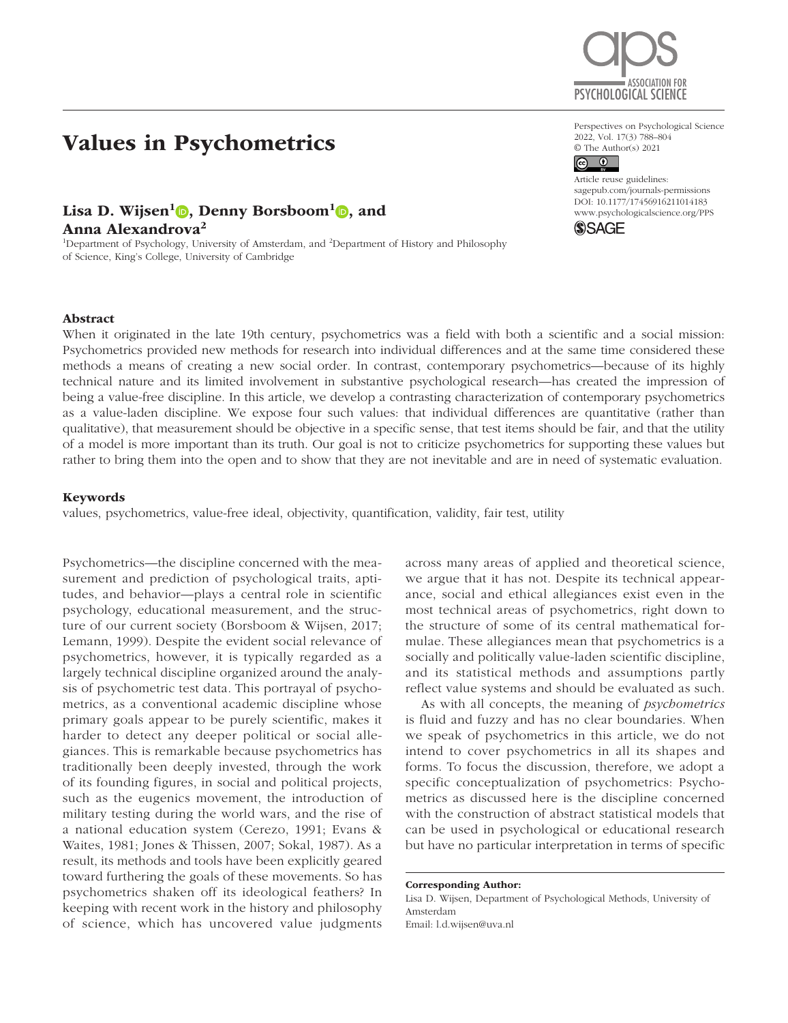# Values in Psychometrics

## Lisa D. Wijsen<sup>1</sup> , Denny Borsboom<sup>1</sup> , and

Anna Alexandrova<sup>2</sup>

<sup>1</sup>Department of Psychology, University of Amsterdam, and <sup>2</sup>Department of History and Philosophy of Science, King's College, University of Cambridge

# ASSOCIATION FOR PSYCHOLOGICAL SCIENCE

Perspectives on Psychological Science 2022, Vol. 17(3) 788–804 © The Author(s) 2021

## $\circledcirc$   $\circledcirc$

DOI: 10.1177/17456916211014183 Article reuse guidelines: [sagepub.com/journals-permissions](https://us.sagepub.com/en-us/journals-permissions) [www.psychologicalscience.org/PPS](http://www.psychologicalscience.org/pps)



## Abstract

When it originated in the late 19th century, psychometrics was a field with both a scientific and a social mission: Psychometrics provided new methods for research into individual differences and at the same time considered these methods a means of creating a new social order. In contrast, contemporary psychometrics—because of its highly technical nature and its limited involvement in substantive psychological research—has created the impression of being a value-free discipline. In this article, we develop a contrasting characterization of contemporary psychometrics as a value-laden discipline. We expose four such values: that individual differences are quantitative (rather than qualitative), that measurement should be objective in a specific sense, that test items should be fair, and that the utility of a model is more important than its truth. Our goal is not to criticize psychometrics for supporting these values but rather to bring them into the open and to show that they are not inevitable and are in need of systematic evaluation.

## Keywords

values, psychometrics, value-free ideal, objectivity, quantification, validity, fair test, utility

Psychometrics—the discipline concerned with the measurement and prediction of psychological traits, aptitudes, and behavior—plays a central role in scientific psychology, educational measurement, and the structure of our current society (Borsboom & Wijsen, 2017; Lemann, 1999). Despite the evident social relevance of psychometrics, however, it is typically regarded as a largely technical discipline organized around the analysis of psychometric test data. This portrayal of psychometrics, as a conventional academic discipline whose primary goals appear to be purely scientific, makes it harder to detect any deeper political or social allegiances. This is remarkable because psychometrics has traditionally been deeply invested, through the work of its founding figures, in social and political projects, such as the eugenics movement, the introduction of military testing during the world wars, and the rise of a national education system (Cerezo, 1991; Evans & Waites, 1981; Jones & Thissen, 2007; Sokal, 1987). As a result, its methods and tools have been explicitly geared toward furthering the goals of these movements. So has psychometrics shaken off its ideological feathers? In keeping with recent work in the history and philosophy of science, which has uncovered value judgments

across many areas of applied and theoretical science, we argue that it has not. Despite its technical appearance, social and ethical allegiances exist even in the most technical areas of psychometrics, right down to the structure of some of its central mathematical formulae. These allegiances mean that psychometrics is a socially and politically value-laden scientific discipline, and its statistical methods and assumptions partly reflect value systems and should be evaluated as such.

As with all concepts, the meaning of *psychometrics* is fluid and fuzzy and has no clear boundaries. When we speak of psychometrics in this article, we do not intend to cover psychometrics in all its shapes and forms. To focus the discussion, therefore, we adopt a specific conceptualization of psychometrics: Psychometrics as discussed here is the discipline concerned with the construction of abstract statistical models that can be used in psychological or educational research but have no particular interpretation in terms of specific

#### Corresponding Author:

Lisa D. Wijsen, Department of Psychological Methods, University of Amsterdam Email: [l.d.wijsen@uva.nl](mailto:l.d.wijsen@uva.nl)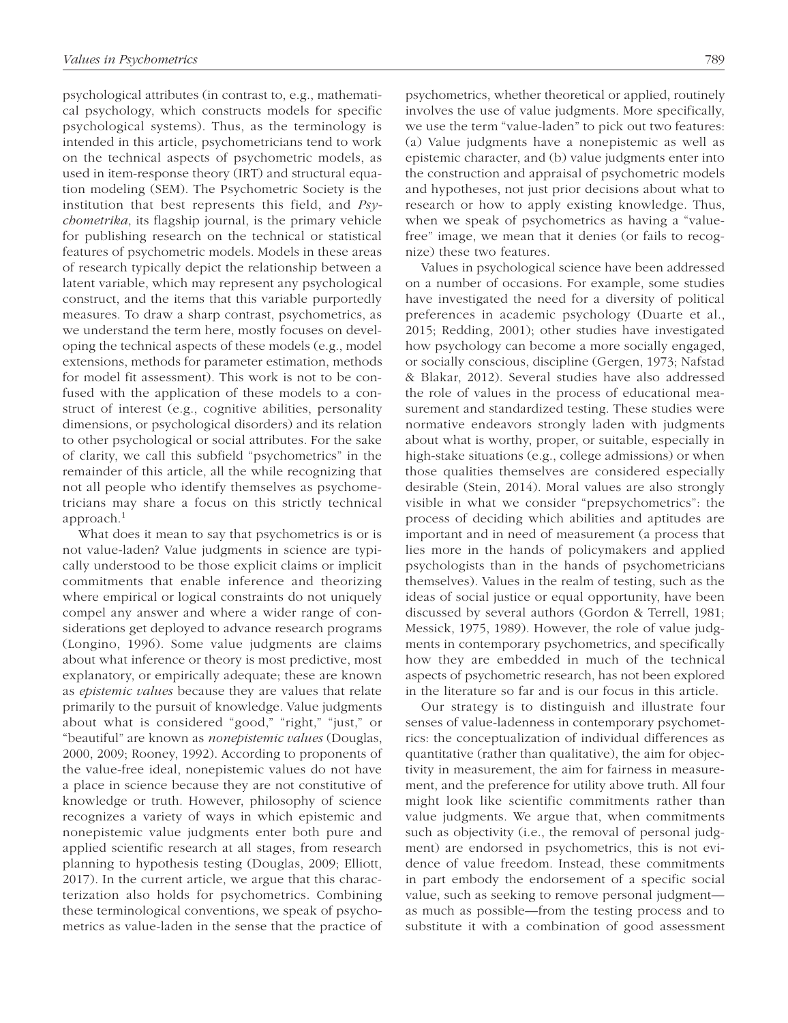psychological attributes (in contrast to, e.g., mathematical psychology, which constructs models for specific psychological systems). Thus, as the terminology is intended in this article, psychometricians tend to work on the technical aspects of psychometric models, as used in item-response theory (IRT) and structural equation modeling (SEM). The Psychometric Society is the institution that best represents this field, and *Psychometrika*, its flagship journal, is the primary vehicle for publishing research on the technical or statistical features of psychometric models. Models in these areas of research typically depict the relationship between a latent variable, which may represent any psychological construct, and the items that this variable purportedly measures. To draw a sharp contrast, psychometrics, as we understand the term here, mostly focuses on developing the technical aspects of these models (e.g., model extensions, methods for parameter estimation, methods for model fit assessment). This work is not to be confused with the application of these models to a construct of interest (e.g., cognitive abilities, personality dimensions, or psychological disorders) and its relation to other psychological or social attributes. For the sake of clarity, we call this subfield "psychometrics" in the remainder of this article, all the while recognizing that not all people who identify themselves as psychometricians may share a focus on this strictly technical  $approach.<sup>1</sup>$ 

What does it mean to say that psychometrics is or is not value-laden? Value judgments in science are typically understood to be those explicit claims or implicit commitments that enable inference and theorizing where empirical or logical constraints do not uniquely compel any answer and where a wider range of considerations get deployed to advance research programs (Longino, 1996). Some value judgments are claims about what inference or theory is most predictive, most explanatory, or empirically adequate; these are known as *epistemic values* because they are values that relate primarily to the pursuit of knowledge. Value judgments about what is considered "good," "right," "just," or "beautiful" are known as *nonepistemic values* (Douglas, 2000, 2009; Rooney, 1992). According to proponents of the value-free ideal, nonepistemic values do not have a place in science because they are not constitutive of knowledge or truth. However, philosophy of science recognizes a variety of ways in which epistemic and nonepistemic value judgments enter both pure and applied scientific research at all stages, from research planning to hypothesis testing (Douglas, 2009; Elliott, 2017). In the current article, we argue that this characterization also holds for psychometrics. Combining these terminological conventions, we speak of psychometrics as value-laden in the sense that the practice of psychometrics, whether theoretical or applied, routinely involves the use of value judgments. More specifically, we use the term "value-laden" to pick out two features: (a) Value judgments have a nonepistemic as well as epistemic character, and (b) value judgments enter into the construction and appraisal of psychometric models and hypotheses, not just prior decisions about what to research or how to apply existing knowledge. Thus, when we speak of psychometrics as having a "valuefree" image, we mean that it denies (or fails to recognize) these two features.

Values in psychological science have been addressed on a number of occasions. For example, some studies have investigated the need for a diversity of political preferences in academic psychology (Duarte et al., 2015; Redding, 2001); other studies have investigated how psychology can become a more socially engaged, or socially conscious, discipline (Gergen, 1973; Nafstad & Blakar, 2012). Several studies have also addressed the role of values in the process of educational measurement and standardized testing. These studies were normative endeavors strongly laden with judgments about what is worthy, proper, or suitable, especially in high-stake situations (e.g., college admissions) or when those qualities themselves are considered especially desirable (Stein, 2014). Moral values are also strongly visible in what we consider "prepsychometrics": the process of deciding which abilities and aptitudes are important and in need of measurement (a process that lies more in the hands of policymakers and applied psychologists than in the hands of psychometricians themselves). Values in the realm of testing, such as the ideas of social justice or equal opportunity, have been discussed by several authors (Gordon & Terrell, 1981; Messick, 1975, 1989). However, the role of value judgments in contemporary psychometrics, and specifically how they are embedded in much of the technical aspects of psychometric research, has not been explored in the literature so far and is our focus in this article.

Our strategy is to distinguish and illustrate four senses of value-ladenness in contemporary psychometrics: the conceptualization of individual differences as quantitative (rather than qualitative), the aim for objectivity in measurement, the aim for fairness in measurement, and the preference for utility above truth. All four might look like scientific commitments rather than value judgments. We argue that, when commitments such as objectivity (i.e., the removal of personal judgment) are endorsed in psychometrics, this is not evidence of value freedom. Instead, these commitments in part embody the endorsement of a specific social value, such as seeking to remove personal judgment as much as possible—from the testing process and to substitute it with a combination of good assessment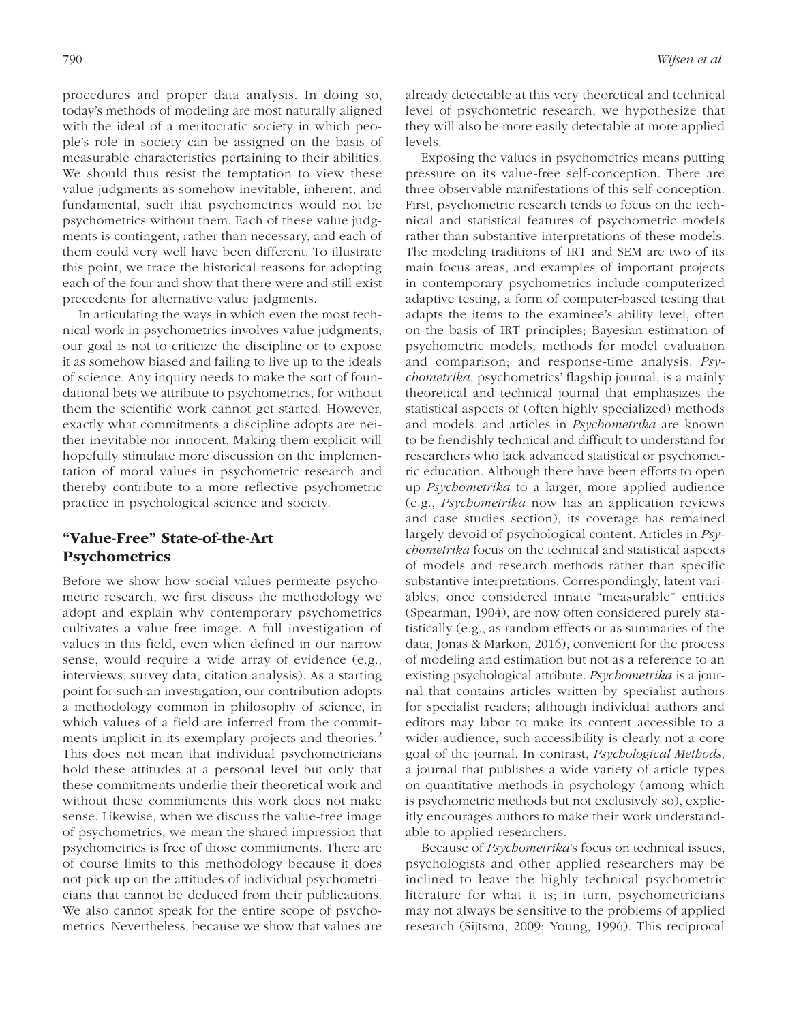procedures and proper data analysis. In doing so, today's methods of modeling are most naturally aligned with the ideal of a meritocratic society in which people's role in society can be assigned on the basis of measurable characteristics pertaining to their abilities. We should thus resist the temptation to view these value judgments as somehow inevitable, inherent, and fundamental, such that psychometrics would not be psychometrics without them. Each of these value judgments is contingent, rather than necessary, and each of them could very well have been different. To illustrate this point, we trace the historical reasons for adopting each of the four and show that there were and still exist precedents for alternative value judgments.

In articulating the ways in which even the most technical work in psychometrics involves value judgments, our goal is not to criticize the discipline or to expose it as somehow biased and failing to live up to the ideals of science. Any inquiry needs to make the sort of foundational bets we attribute to psychometrics, for without them the scientific work cannot get started. However, exactly what commitments a discipline adopts are neither inevitable nor innocent. Making them explicit will hopefully stimulate more discussion on the implementation of moral values in psychometric research and thereby contribute to a more reflective psychometric practice in psychological science and society.

## "Value-Free" State-of-the-Art **Psychometrics**

Before we show how social values permeate psychometric research, we first discuss the methodology we adopt and explain why contemporary psychometrics cultivates a value-free image. A full investigation of values in this field, even when defined in our narrow sense, would require a wide array of evidence (e.g., interviews, survey data, citation analysis). As a starting point for such an investigation, our contribution adopts a methodology common in philosophy of science, in which values of a field are inferred from the commitments implicit in its exemplary projects and theories.<sup>2</sup> This does not mean that individual psychometricians hold these attitudes at a personal level but only that these commitments underlie their theoretical work and without these commitments this work does not make sense. Likewise, when we discuss the value-free image of psychometrics, we mean the shared impression that psychometrics is free of those commitments. There are of course limits to this methodology because it does not pick up on the attitudes of individual psychometricians that cannot be deduced from their publications. We also cannot speak for the entire scope of psychometrics. Nevertheless, because we show that values are already detectable at this very theoretical and technical level of psychometric research, we hypothesize that they will also be more easily detectable at more applied levels.

Exposing the values in psychometrics means putting pressure on its value-free self-conception. There are three observable manifestations of this self-conception. First, psychometric research tends to focus on the technical and statistical features of psychometric models rather than substantive interpretations of these models. The modeling traditions of IRT and SEM are two of its main focus areas, and examples of important projects in contemporary psychometrics include computerized adaptive testing, a form of computer-based testing that adapts the items to the examinee's ability level, often on the basis of IRT principles; Bayesian estimation of psychometric models; methods for model evaluation and comparison; and response-time analysis. *Psychometrika*, psychometrics' flagship journal, is a mainly theoretical and technical journal that emphasizes the statistical aspects of (often highly specialized) methods and models, and articles in *Psychometrika* are known to be fiendishly technical and difficult to understand for researchers who lack advanced statistical or psychometric education. Although there have been efforts to open up *Psychometrika* to a larger, more applied audience (e.g., *Psychometrika* now has an application reviews and case studies section), its coverage has remained largely devoid of psychological content. Articles in *Psychometrika* focus on the technical and statistical aspects of models and research methods rather than specific substantive interpretations. Correspondingly, latent variables, once considered innate "measurable" entities (Spearman, 1904), are now often considered purely statistically (e.g., as random effects or as summaries of the data; Jonas & Markon, 2016), convenient for the process of modeling and estimation but not as a reference to an existing psychological attribute. *Psychometrika* is a journal that contains articles written by specialist authors for specialist readers; although individual authors and editors may labor to make its content accessible to a wider audience, such accessibility is clearly not a core goal of the journal. In contrast, *Psychological Methods*, a journal that publishes a wide variety of article types on quantitative methods in psychology (among which is psychometric methods but not exclusively so), explicitly encourages authors to make their work understandable to applied researchers.

Because of *Psychometrika*'s focus on technical issues, psychologists and other applied researchers may be inclined to leave the highly technical psychometric literature for what it is; in turn, psychometricians may not always be sensitive to the problems of applied research (Sijtsma, 2009; Young, 1996). This reciprocal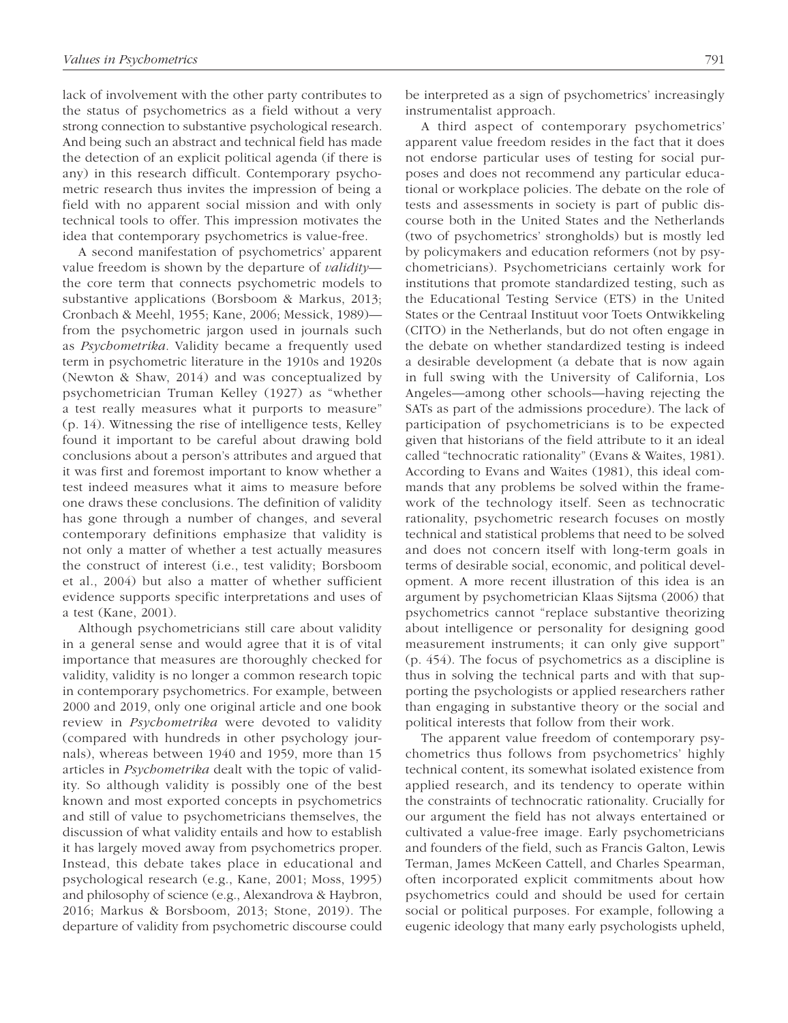lack of involvement with the other party contributes to the status of psychometrics as a field without a very strong connection to substantive psychological research. And being such an abstract and technical field has made the detection of an explicit political agenda (if there is any) in this research difficult. Contemporary psychometric research thus invites the impression of being a field with no apparent social mission and with only technical tools to offer. This impression motivates the idea that contemporary psychometrics is value-free.

A second manifestation of psychometrics' apparent value freedom is shown by the departure of *validity* the core term that connects psychometric models to substantive applications (Borsboom & Markus, 2013; Cronbach & Meehl, 1955; Kane, 2006; Messick, 1989) from the psychometric jargon used in journals such as *Psychometrika*. Validity became a frequently used term in psychometric literature in the 1910s and 1920s (Newton & Shaw, 2014) and was conceptualized by psychometrician Truman Kelley (1927) as "whether a test really measures what it purports to measure" (p. 14). Witnessing the rise of intelligence tests, Kelley found it important to be careful about drawing bold conclusions about a person's attributes and argued that it was first and foremost important to know whether a test indeed measures what it aims to measure before one draws these conclusions. The definition of validity has gone through a number of changes, and several contemporary definitions emphasize that validity is not only a matter of whether a test actually measures the construct of interest (i.e., test validity; Borsboom et al., 2004) but also a matter of whether sufficient evidence supports specific interpretations and uses of a test (Kane, 2001).

Although psychometricians still care about validity in a general sense and would agree that it is of vital importance that measures are thoroughly checked for validity, validity is no longer a common research topic in contemporary psychometrics. For example, between 2000 and 2019, only one original article and one book review in *Psychometrika* were devoted to validity (compared with hundreds in other psychology journals), whereas between 1940 and 1959, more than 15 articles in *Psychometrika* dealt with the topic of validity. So although validity is possibly one of the best known and most exported concepts in psychometrics and still of value to psychometricians themselves, the discussion of what validity entails and how to establish it has largely moved away from psychometrics proper. Instead, this debate takes place in educational and psychological research (e.g., Kane, 2001; Moss, 1995) and philosophy of science (e.g., Alexandrova & Haybron, 2016; Markus & Borsboom, 2013; Stone, 2019). The departure of validity from psychometric discourse could be interpreted as a sign of psychometrics' increasingly instrumentalist approach.

A third aspect of contemporary psychometrics' apparent value freedom resides in the fact that it does not endorse particular uses of testing for social purposes and does not recommend any particular educational or workplace policies. The debate on the role of tests and assessments in society is part of public discourse both in the United States and the Netherlands (two of psychometrics' strongholds) but is mostly led by policymakers and education reformers (not by psychometricians). Psychometricians certainly work for institutions that promote standardized testing, such as the Educational Testing Service (ETS) in the United States or the Centraal Instituut voor Toets Ontwikkeling (CITO) in the Netherlands, but do not often engage in the debate on whether standardized testing is indeed a desirable development (a debate that is now again in full swing with the University of California, Los Angeles—among other schools—having rejecting the SATs as part of the admissions procedure). The lack of participation of psychometricians is to be expected given that historians of the field attribute to it an ideal called "technocratic rationality" (Evans & Waites, 1981). According to Evans and Waites (1981), this ideal commands that any problems be solved within the framework of the technology itself. Seen as technocratic rationality, psychometric research focuses on mostly technical and statistical problems that need to be solved and does not concern itself with long-term goals in terms of desirable social, economic, and political development. A more recent illustration of this idea is an argument by psychometrician Klaas Sijtsma (2006) that psychometrics cannot "replace substantive theorizing about intelligence or personality for designing good measurement instruments; it can only give support" (p. 454). The focus of psychometrics as a discipline is thus in solving the technical parts and with that supporting the psychologists or applied researchers rather than engaging in substantive theory or the social and political interests that follow from their work.

The apparent value freedom of contemporary psychometrics thus follows from psychometrics' highly technical content, its somewhat isolated existence from applied research, and its tendency to operate within the constraints of technocratic rationality. Crucially for our argument the field has not always entertained or cultivated a value-free image. Early psychometricians and founders of the field, such as Francis Galton, Lewis Terman, James McKeen Cattell, and Charles Spearman, often incorporated explicit commitments about how psychometrics could and should be used for certain social or political purposes. For example, following a eugenic ideology that many early psychologists upheld,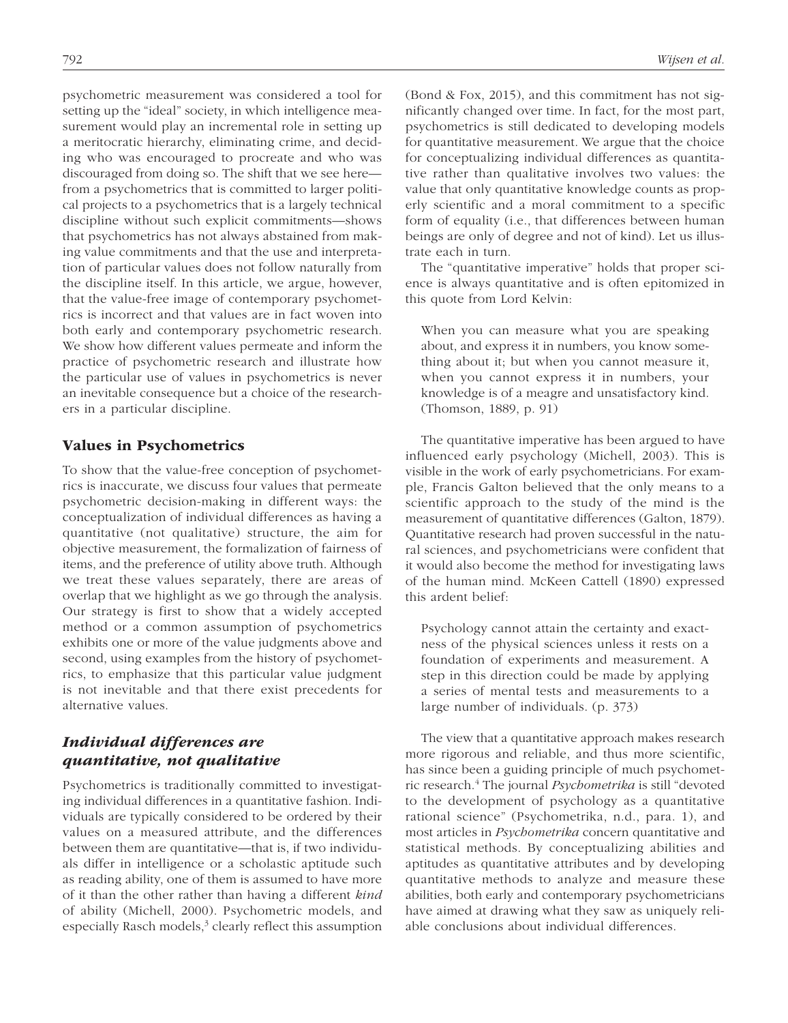psychometric measurement was considered a tool for setting up the "ideal" society, in which intelligence measurement would play an incremental role in setting up a meritocratic hierarchy, eliminating crime, and deciding who was encouraged to procreate and who was discouraged from doing so. The shift that we see here from a psychometrics that is committed to larger political projects to a psychometrics that is a largely technical discipline without such explicit commitments—shows that psychometrics has not always abstained from making value commitments and that the use and interpretation of particular values does not follow naturally from the discipline itself. In this article, we argue, however, that the value-free image of contemporary psychometrics is incorrect and that values are in fact woven into both early and contemporary psychometric research. We show how different values permeate and inform the practice of psychometric research and illustrate how the particular use of values in psychometrics is never an inevitable consequence but a choice of the researchers in a particular discipline.

## Values in Psychometrics

To show that the value-free conception of psychometrics is inaccurate, we discuss four values that permeate psychometric decision-making in different ways: the conceptualization of individual differences as having a quantitative (not qualitative) structure, the aim for objective measurement, the formalization of fairness of items, and the preference of utility above truth. Although we treat these values separately, there are areas of overlap that we highlight as we go through the analysis. Our strategy is first to show that a widely accepted method or a common assumption of psychometrics exhibits one or more of the value judgments above and second, using examples from the history of psychometrics, to emphasize that this particular value judgment is not inevitable and that there exist precedents for alternative values.

## *Individual differences are quantitative, not qualitative*

Psychometrics is traditionally committed to investigating individual differences in a quantitative fashion. Individuals are typically considered to be ordered by their values on a measured attribute, and the differences between them are quantitative—that is, if two individuals differ in intelligence or a scholastic aptitude such as reading ability, one of them is assumed to have more of it than the other rather than having a different *kind* of ability (Michell, 2000). Psychometric models, and especially Rasch models, $3$  clearly reflect this assumption (Bond & Fox, 2015), and this commitment has not significantly changed over time. In fact, for the most part, psychometrics is still dedicated to developing models for quantitative measurement. We argue that the choice for conceptualizing individual differences as quantitative rather than qualitative involves two values: the value that only quantitative knowledge counts as properly scientific and a moral commitment to a specific form of equality (i.e., that differences between human beings are only of degree and not of kind). Let us illustrate each in turn.

The "quantitative imperative" holds that proper science is always quantitative and is often epitomized in this quote from Lord Kelvin:

When you can measure what you are speaking about, and express it in numbers, you know something about it; but when you cannot measure it, when you cannot express it in numbers, your knowledge is of a meagre and unsatisfactory kind. (Thomson, 1889, p. 91)

The quantitative imperative has been argued to have influenced early psychology (Michell, 2003). This is visible in the work of early psychometricians. For example, Francis Galton believed that the only means to a scientific approach to the study of the mind is the measurement of quantitative differences (Galton, 1879). Quantitative research had proven successful in the natural sciences, and psychometricians were confident that it would also become the method for investigating laws of the human mind. McKeen Cattell (1890) expressed this ardent belief:

Psychology cannot attain the certainty and exactness of the physical sciences unless it rests on a foundation of experiments and measurement. A step in this direction could be made by applying a series of mental tests and measurements to a large number of individuals. (p. 373)

The view that a quantitative approach makes research more rigorous and reliable, and thus more scientific, has since been a guiding principle of much psychometric research.4 The journal *Psychometrika* is still "devoted to the development of psychology as a quantitative rational science" (Psychometrika, n.d., para. 1), and most articles in *Psychometrika* concern quantitative and statistical methods. By conceptualizing abilities and aptitudes as quantitative attributes and by developing quantitative methods to analyze and measure these abilities, both early and contemporary psychometricians have aimed at drawing what they saw as uniquely reliable conclusions about individual differences.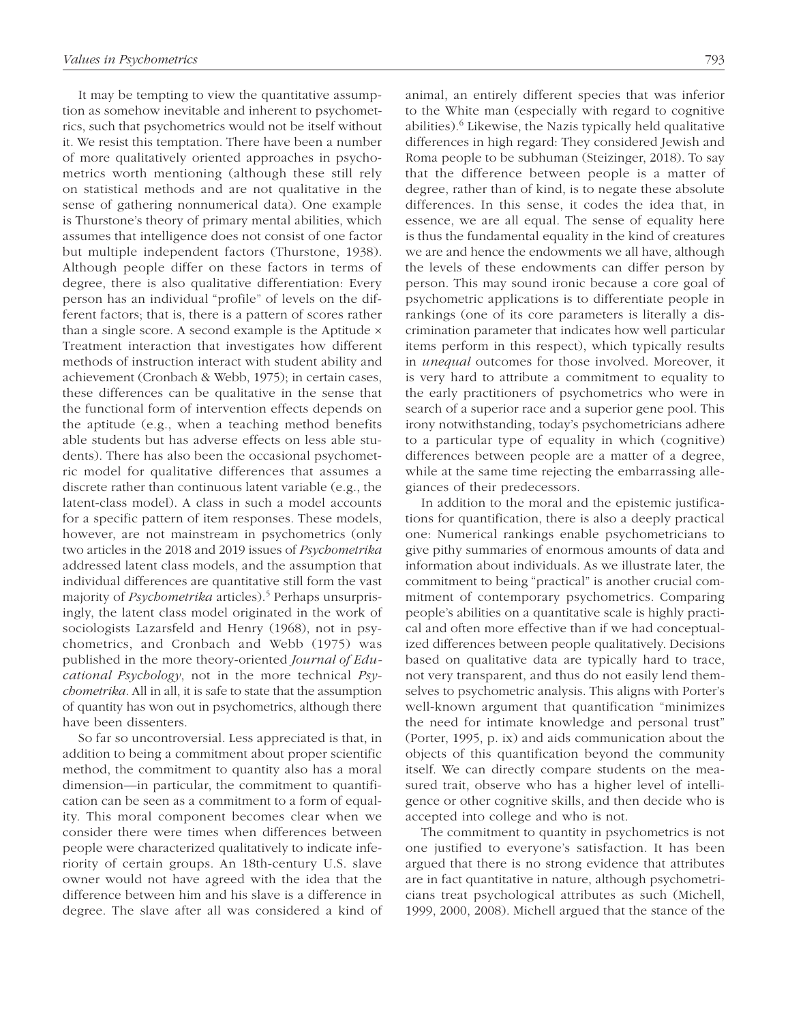It may be tempting to view the quantitative assumption as somehow inevitable and inherent to psychometrics, such that psychometrics would not be itself without it. We resist this temptation. There have been a number of more qualitatively oriented approaches in psychometrics worth mentioning (although these still rely on statistical methods and are not qualitative in the sense of gathering nonnumerical data). One example is Thurstone's theory of primary mental abilities, which assumes that intelligence does not consist of one factor but multiple independent factors (Thurstone, 1938). Although people differ on these factors in terms of degree, there is also qualitative differentiation: Every person has an individual "profile" of levels on the different factors; that is, there is a pattern of scores rather than a single score. A second example is the Aptitude × Treatment interaction that investigates how different methods of instruction interact with student ability and achievement (Cronbach & Webb, 1975); in certain cases, these differences can be qualitative in the sense that the functional form of intervention effects depends on the aptitude (e.g., when a teaching method benefits able students but has adverse effects on less able students). There has also been the occasional psychometric model for qualitative differences that assumes a discrete rather than continuous latent variable (e.g., the latent-class model). A class in such a model accounts for a specific pattern of item responses. These models, however, are not mainstream in psychometrics (only two articles in the 2018 and 2019 issues of *Psychometrika* addressed latent class models, and the assumption that individual differences are quantitative still form the vast majority of *Psychometrika* articles).5 Perhaps unsurprisingly, the latent class model originated in the work of sociologists Lazarsfeld and Henry (1968), not in psychometrics, and Cronbach and Webb (1975) was published in the more theory-oriented *Journal of Educational Psychology*, not in the more technical *Psychometrika*. All in all, it is safe to state that the assumption of quantity has won out in psychometrics, although there have been dissenters.

So far so uncontroversial. Less appreciated is that, in addition to being a commitment about proper scientific method, the commitment to quantity also has a moral dimension—in particular, the commitment to quantification can be seen as a commitment to a form of equality. This moral component becomes clear when we consider there were times when differences between people were characterized qualitatively to indicate inferiority of certain groups. An 18th-century U.S. slave owner would not have agreed with the idea that the difference between him and his slave is a difference in degree. The slave after all was considered a kind of animal, an entirely different species that was inferior to the White man (especially with regard to cognitive abilities). $^6$  Likewise, the Nazis typically held qualitative differences in high regard: They considered Jewish and Roma people to be subhuman (Steizinger, 2018). To say that the difference between people is a matter of degree, rather than of kind, is to negate these absolute differences. In this sense, it codes the idea that, in essence, we are all equal. The sense of equality here is thus the fundamental equality in the kind of creatures we are and hence the endowments we all have, although the levels of these endowments can differ person by person. This may sound ironic because a core goal of psychometric applications is to differentiate people in rankings (one of its core parameters is literally a discrimination parameter that indicates how well particular items perform in this respect), which typically results in *unequal* outcomes for those involved. Moreover, it is very hard to attribute a commitment to equality to the early practitioners of psychometrics who were in search of a superior race and a superior gene pool. This irony notwithstanding, today's psychometricians adhere to a particular type of equality in which (cognitive) differences between people are a matter of a degree, while at the same time rejecting the embarrassing allegiances of their predecessors.

In addition to the moral and the epistemic justifications for quantification, there is also a deeply practical one: Numerical rankings enable psychometricians to give pithy summaries of enormous amounts of data and information about individuals. As we illustrate later, the commitment to being "practical" is another crucial commitment of contemporary psychometrics. Comparing people's abilities on a quantitative scale is highly practical and often more effective than if we had conceptualized differences between people qualitatively. Decisions based on qualitative data are typically hard to trace, not very transparent, and thus do not easily lend themselves to psychometric analysis. This aligns with Porter's well-known argument that quantification "minimizes the need for intimate knowledge and personal trust" (Porter, 1995, p. ix) and aids communication about the objects of this quantification beyond the community itself. We can directly compare students on the measured trait, observe who has a higher level of intelligence or other cognitive skills, and then decide who is accepted into college and who is not.

The commitment to quantity in psychometrics is not one justified to everyone's satisfaction. It has been argued that there is no strong evidence that attributes are in fact quantitative in nature, although psychometricians treat psychological attributes as such (Michell, 1999, 2000, 2008). Michell argued that the stance of the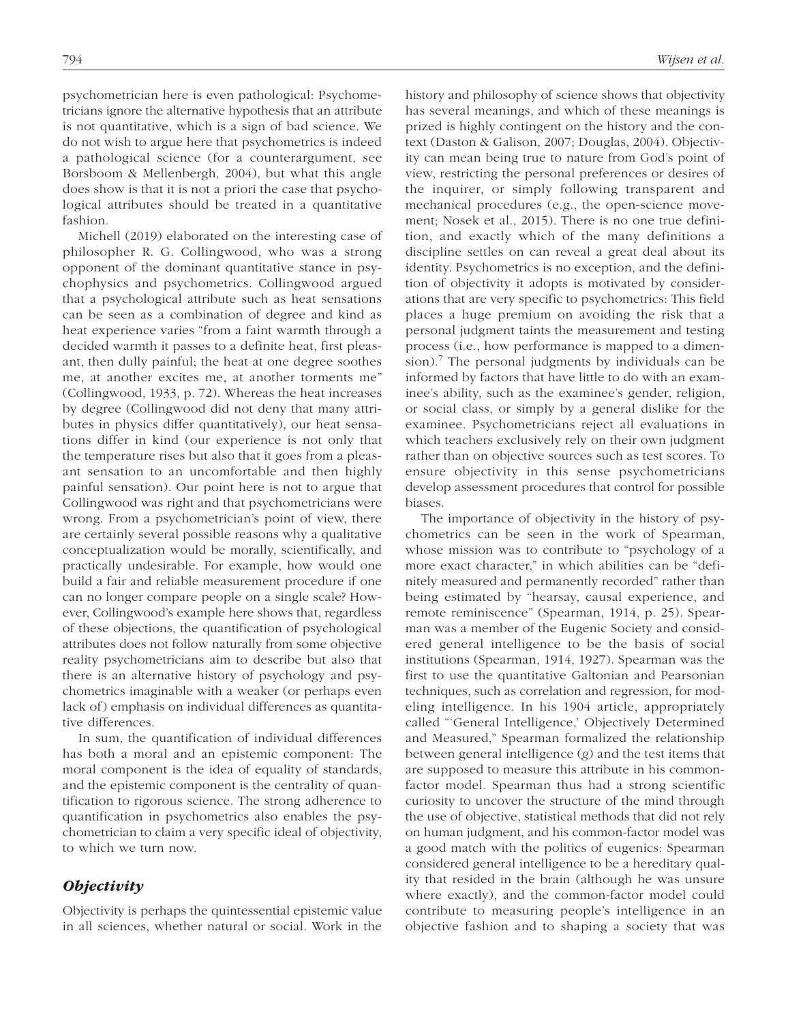psychometrician here is even pathological: Psychometricians ignore the alternative hypothesis that an attribute is not quantitative, which is a sign of bad science. We do not wish to argue here that psychometrics is indeed a pathological science (for a counterargument, see Borsboom & Mellenbergh, 2004), but what this angle does show is that it is not a priori the case that psychological attributes should be treated in a quantitative fashion.

Michell (2019) elaborated on the interesting case of philosopher R. G. Collingwood, who was a strong opponent of the dominant quantitative stance in psychophysics and psychometrics. Collingwood argued that a psychological attribute such as heat sensations can be seen as a combination of degree and kind as heat experience varies "from a faint warmth through a decided warmth it passes to a definite heat, first pleasant, then dully painful; the heat at one degree soothes me, at another excites me, at another torments me" (Collingwood, 1933, p. 72). Whereas the heat increases by degree (Collingwood did not deny that many attributes in physics differ quantitatively), our heat sensations differ in kind (our experience is not only that the temperature rises but also that it goes from a pleasant sensation to an uncomfortable and then highly painful sensation). Our point here is not to argue that Collingwood was right and that psychometricians were wrong. From a psychometrician's point of view, there are certainly several possible reasons why a qualitative conceptualization would be morally, scientifically, and practically undesirable. For example, how would one build a fair and reliable measurement procedure if one can no longer compare people on a single scale? However, Collingwood's example here shows that, regardless of these objections, the quantification of psychological attributes does not follow naturally from some objective reality psychometricians aim to describe but also that there is an alternative history of psychology and psychometrics imaginable with a weaker (or perhaps even lack of) emphasis on individual differences as quantitative differences.

In sum, the quantification of individual differences has both a moral and an epistemic component: The moral component is the idea of equality of standards, and the epistemic component is the centrality of quantification to rigorous science. The strong adherence to quantification in psychometrics also enables the psychometrician to claim a very specific ideal of objectivity, to which we turn now.

## *Objectivity*

Objectivity is perhaps the quintessential epistemic value in all sciences, whether natural or social. Work in the

history and philosophy of science shows that objectivity has several meanings, and which of these meanings is prized is highly contingent on the history and the context (Daston & Galison, 2007; Douglas, 2004). Objectivity can mean being true to nature from God's point of view, restricting the personal preferences or desires of the inquirer, or simply following transparent and mechanical procedures (e.g., the open-science movement; Nosek et al., 2015). There is no one true definition, and exactly which of the many definitions a discipline settles on can reveal a great deal about its identity. Psychometrics is no exception, and the definition of objectivity it adopts is motivated by considerations that are very specific to psychometrics: This field places a huge premium on avoiding the risk that a personal judgment taints the measurement and testing process (i.e., how performance is mapped to a dimension).7 The personal judgments by individuals can be informed by factors that have little to do with an examinee's ability, such as the examinee's gender, religion, or social class, or simply by a general dislike for the examinee. Psychometricians reject all evaluations in which teachers exclusively rely on their own judgment rather than on objective sources such as test scores. To ensure objectivity in this sense psychometricians develop assessment procedures that control for possible biases.

The importance of objectivity in the history of psychometrics can be seen in the work of Spearman, whose mission was to contribute to "psychology of a more exact character," in which abilities can be "definitely measured and permanently recorded" rather than being estimated by "hearsay, causal experience, and remote reminiscence" (Spearman, 1914, p. 25). Spearman was a member of the Eugenic Society and considered general intelligence to be the basis of social institutions (Spearman, 1914, 1927). Spearman was the first to use the quantitative Galtonian and Pearsonian techniques, such as correlation and regression, for modeling intelligence. In his 1904 article, appropriately called "'General Intelligence,' Objectively Determined and Measured," Spearman formalized the relationship between general intelligence (*g*) and the test items that are supposed to measure this attribute in his commonfactor model. Spearman thus had a strong scientific curiosity to uncover the structure of the mind through the use of objective, statistical methods that did not rely on human judgment, and his common-factor model was a good match with the politics of eugenics: Spearman considered general intelligence to be a hereditary quality that resided in the brain (although he was unsure where exactly), and the common-factor model could contribute to measuring people's intelligence in an objective fashion and to shaping a society that was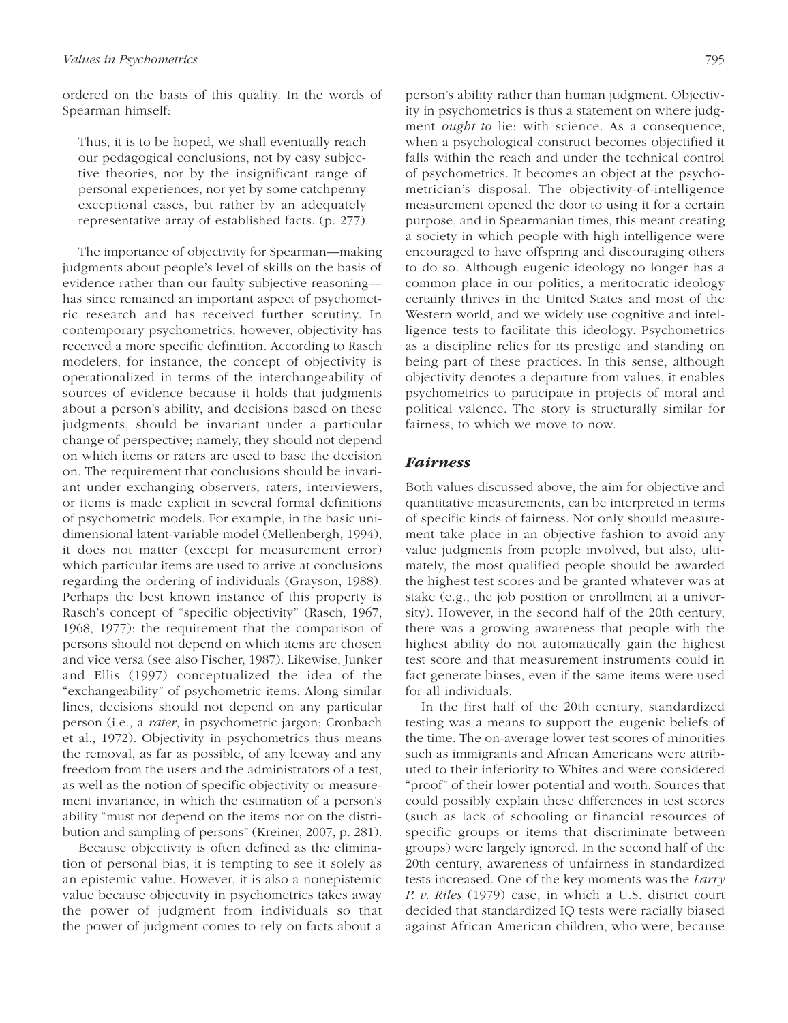ordered on the basis of this quality. In the words of Spearman himself:

Thus, it is to be hoped, we shall eventually reach our pedagogical conclusions, not by easy subjective theories, nor by the insignificant range of personal experiences, nor yet by some catchpenny exceptional cases, but rather by an adequately representative array of established facts. (p. 277)

The importance of objectivity for Spearman—making judgments about people's level of skills on the basis of evidence rather than our faulty subjective reasoning has since remained an important aspect of psychometric research and has received further scrutiny. In contemporary psychometrics, however, objectivity has received a more specific definition. According to Rasch modelers, for instance, the concept of objectivity is operationalized in terms of the interchangeability of sources of evidence because it holds that judgments about a person's ability, and decisions based on these judgments, should be invariant under a particular change of perspective; namely, they should not depend on which items or raters are used to base the decision on. The requirement that conclusions should be invariant under exchanging observers, raters, interviewers, or items is made explicit in several formal definitions of psychometric models. For example, in the basic unidimensional latent-variable model (Mellenbergh, 1994), it does not matter (except for measurement error) which particular items are used to arrive at conclusions regarding the ordering of individuals (Grayson, 1988). Perhaps the best known instance of this property is Rasch's concept of "specific objectivity" (Rasch, 1967, 1968, 1977): the requirement that the comparison of persons should not depend on which items are chosen and vice versa (see also Fischer, 1987). Likewise, Junker and Ellis (1997) conceptualized the idea of the "exchangeability" of psychometric items. Along similar lines, decisions should not depend on any particular person (i.e., a *rater*, in psychometric jargon; Cronbach et al., 1972). Objectivity in psychometrics thus means the removal, as far as possible, of any leeway and any freedom from the users and the administrators of a test, as well as the notion of specific objectivity or measurement invariance, in which the estimation of a person's ability "must not depend on the items nor on the distribution and sampling of persons" (Kreiner, 2007, p. 281).

Because objectivity is often defined as the elimination of personal bias, it is tempting to see it solely as an epistemic value. However, it is also a nonepistemic value because objectivity in psychometrics takes away the power of judgment from individuals so that the power of judgment comes to rely on facts about a

person's ability rather than human judgment. Objectivity in psychometrics is thus a statement on where judgment *ought to* lie: with science. As a consequence, when a psychological construct becomes objectified it falls within the reach and under the technical control of psychometrics. It becomes an object at the psychometrician's disposal. The objectivity-of-intelligence measurement opened the door to using it for a certain purpose, and in Spearmanian times, this meant creating a society in which people with high intelligence were encouraged to have offspring and discouraging others to do so. Although eugenic ideology no longer has a common place in our politics, a meritocratic ideology certainly thrives in the United States and most of the Western world, and we widely use cognitive and intelligence tests to facilitate this ideology. Psychometrics as a discipline relies for its prestige and standing on being part of these practices. In this sense, although objectivity denotes a departure from values, it enables psychometrics to participate in projects of moral and political valence. The story is structurally similar for fairness, to which we move to now.

## *Fairness*

Both values discussed above, the aim for objective and quantitative measurements, can be interpreted in terms of specific kinds of fairness. Not only should measurement take place in an objective fashion to avoid any value judgments from people involved, but also, ultimately, the most qualified people should be awarded the highest test scores and be granted whatever was at stake (e.g., the job position or enrollment at a university). However, in the second half of the 20th century, there was a growing awareness that people with the highest ability do not automatically gain the highest test score and that measurement instruments could in fact generate biases, even if the same items were used for all individuals.

In the first half of the 20th century, standardized testing was a means to support the eugenic beliefs of the time. The on-average lower test scores of minorities such as immigrants and African Americans were attributed to their inferiority to Whites and were considered "proof" of their lower potential and worth. Sources that could possibly explain these differences in test scores (such as lack of schooling or financial resources of specific groups or items that discriminate between groups) were largely ignored. In the second half of the 20th century, awareness of unfairness in standardized tests increased. One of the key moments was the *Larry P. v. Riles* (1979) case, in which a U.S. district court decided that standardized IQ tests were racially biased against African American children, who were, because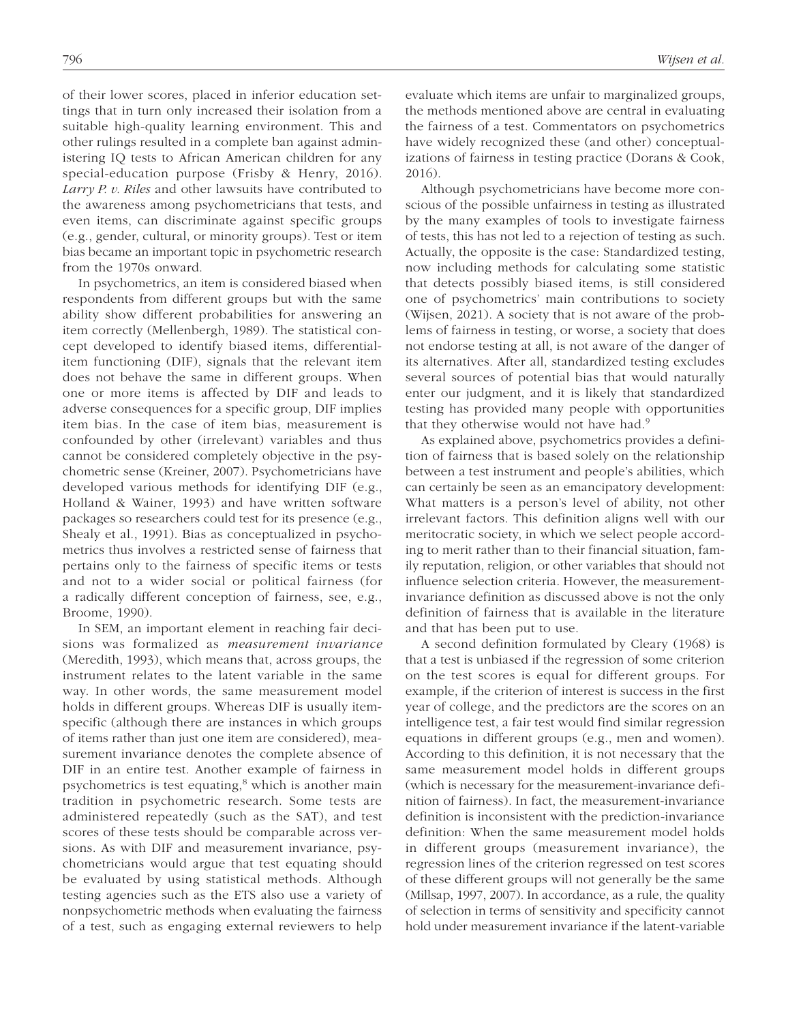of their lower scores, placed in inferior education settings that in turn only increased their isolation from a suitable high-quality learning environment. This and other rulings resulted in a complete ban against administering IQ tests to African American children for any special-education purpose (Frisby & Henry, 2016). *Larry P. v. Riles* and other lawsuits have contributed to the awareness among psychometricians that tests, and even items, can discriminate against specific groups (e.g., gender, cultural, or minority groups). Test or item bias became an important topic in psychometric research from the 1970s onward.

In psychometrics, an item is considered biased when respondents from different groups but with the same ability show different probabilities for answering an item correctly (Mellenbergh, 1989). The statistical concept developed to identify biased items, differentialitem functioning (DIF), signals that the relevant item does not behave the same in different groups. When one or more items is affected by DIF and leads to adverse consequences for a specific group, DIF implies item bias. In the case of item bias, measurement is confounded by other (irrelevant) variables and thus cannot be considered completely objective in the psychometric sense (Kreiner, 2007). Psychometricians have developed various methods for identifying DIF (e.g., Holland & Wainer, 1993) and have written software packages so researchers could test for its presence (e.g., Shealy et al., 1991). Bias as conceptualized in psychometrics thus involves a restricted sense of fairness that pertains only to the fairness of specific items or tests and not to a wider social or political fairness (for a radically different conception of fairness, see, e.g., Broome, 1990).

In SEM, an important element in reaching fair decisions was formalized as *measurement invariance* (Meredith, 1993), which means that, across groups, the instrument relates to the latent variable in the same way. In other words, the same measurement model holds in different groups. Whereas DIF is usually itemspecific (although there are instances in which groups of items rather than just one item are considered), measurement invariance denotes the complete absence of DIF in an entire test. Another example of fairness in psychometrics is test equating,<sup>8</sup> which is another main tradition in psychometric research. Some tests are administered repeatedly (such as the SAT), and test scores of these tests should be comparable across versions. As with DIF and measurement invariance, psychometricians would argue that test equating should be evaluated by using statistical methods. Although testing agencies such as the ETS also use a variety of nonpsychometric methods when evaluating the fairness of a test, such as engaging external reviewers to help

evaluate which items are unfair to marginalized groups, the methods mentioned above are central in evaluating the fairness of a test. Commentators on psychometrics have widely recognized these (and other) conceptualizations of fairness in testing practice (Dorans & Cook, 2016).

Although psychometricians have become more conscious of the possible unfairness in testing as illustrated by the many examples of tools to investigate fairness of tests, this has not led to a rejection of testing as such. Actually, the opposite is the case: Standardized testing, now including methods for calculating some statistic that detects possibly biased items, is still considered one of psychometrics' main contributions to society (Wijsen, 2021). A society that is not aware of the problems of fairness in testing, or worse, a society that does not endorse testing at all, is not aware of the danger of its alternatives. After all, standardized testing excludes several sources of potential bias that would naturally enter our judgment, and it is likely that standardized testing has provided many people with opportunities that they otherwise would not have had.<sup>9</sup>

As explained above, psychometrics provides a definition of fairness that is based solely on the relationship between a test instrument and people's abilities, which can certainly be seen as an emancipatory development: What matters is a person's level of ability, not other irrelevant factors. This definition aligns well with our meritocratic society, in which we select people according to merit rather than to their financial situation, family reputation, religion, or other variables that should not influence selection criteria. However, the measurementinvariance definition as discussed above is not the only definition of fairness that is available in the literature and that has been put to use.

A second definition formulated by Cleary (1968) is that a test is unbiased if the regression of some criterion on the test scores is equal for different groups. For example, if the criterion of interest is success in the first year of college, and the predictors are the scores on an intelligence test, a fair test would find similar regression equations in different groups (e.g., men and women). According to this definition, it is not necessary that the same measurement model holds in different groups (which is necessary for the measurement-invariance definition of fairness). In fact, the measurement-invariance definition is inconsistent with the prediction-invariance definition: When the same measurement model holds in different groups (measurement invariance), the regression lines of the criterion regressed on test scores of these different groups will not generally be the same (Millsap, 1997, 2007). In accordance, as a rule, the quality of selection in terms of sensitivity and specificity cannot hold under measurement invariance if the latent-variable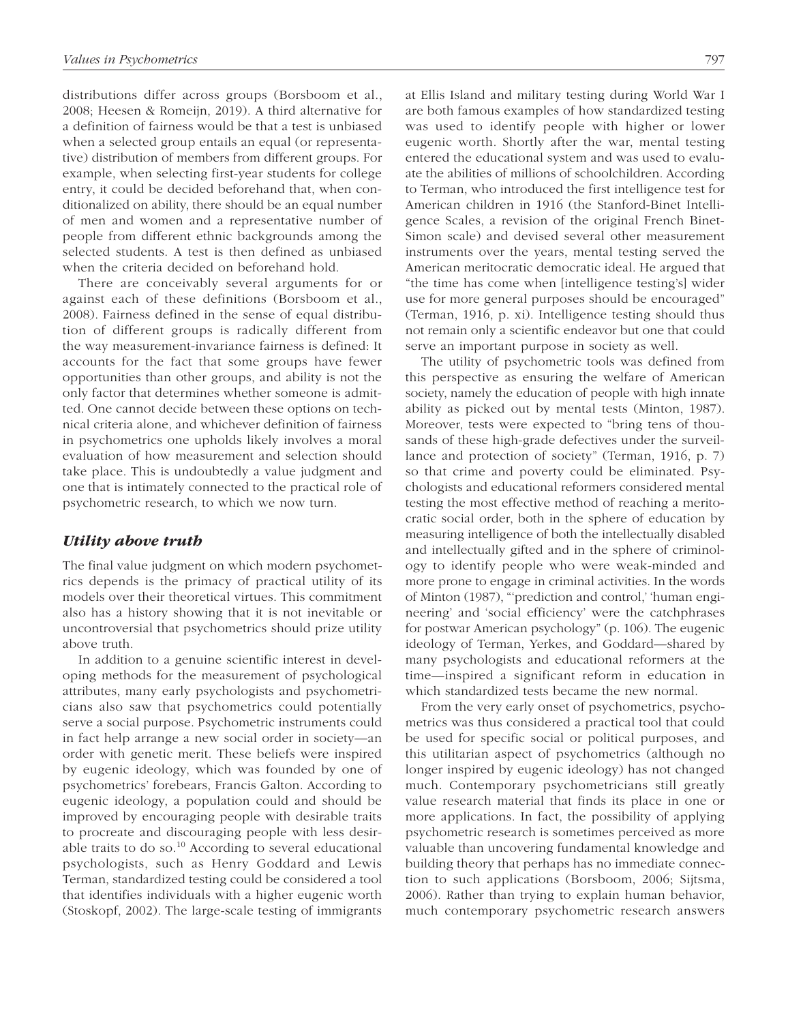distributions differ across groups (Borsboom et al., 2008; Heesen & Romeijn, 2019). A third alternative for a definition of fairness would be that a test is unbiased when a selected group entails an equal (or representative) distribution of members from different groups. For example, when selecting first-year students for college entry, it could be decided beforehand that, when conditionalized on ability, there should be an equal number of men and women and a representative number of people from different ethnic backgrounds among the selected students. A test is then defined as unbiased when the criteria decided on beforehand hold.

There are conceivably several arguments for or against each of these definitions (Borsboom et al., 2008). Fairness defined in the sense of equal distribution of different groups is radically different from the way measurement-invariance fairness is defined: It accounts for the fact that some groups have fewer opportunities than other groups, and ability is not the only factor that determines whether someone is admitted. One cannot decide between these options on technical criteria alone, and whichever definition of fairness in psychometrics one upholds likely involves a moral evaluation of how measurement and selection should take place. This is undoubtedly a value judgment and one that is intimately connected to the practical role of psychometric research, to which we now turn.

## *Utility above truth*

The final value judgment on which modern psychometrics depends is the primacy of practical utility of its models over their theoretical virtues. This commitment also has a history showing that it is not inevitable or uncontroversial that psychometrics should prize utility above truth.

In addition to a genuine scientific interest in developing methods for the measurement of psychological attributes, many early psychologists and psychometricians also saw that psychometrics could potentially serve a social purpose. Psychometric instruments could in fact help arrange a new social order in society—an order with genetic merit. These beliefs were inspired by eugenic ideology, which was founded by one of psychometrics' forebears, Francis Galton. According to eugenic ideology, a population could and should be improved by encouraging people with desirable traits to procreate and discouraging people with less desirable traits to do so.10 According to several educational psychologists, such as Henry Goddard and Lewis Terman, standardized testing could be considered a tool that identifies individuals with a higher eugenic worth (Stoskopf, 2002). The large-scale testing of immigrants at Ellis Island and military testing during World War I are both famous examples of how standardized testing was used to identify people with higher or lower eugenic worth. Shortly after the war, mental testing entered the educational system and was used to evaluate the abilities of millions of schoolchildren. According to Terman, who introduced the first intelligence test for American children in 1916 (the Stanford-Binet Intelligence Scales, a revision of the original French Binet-Simon scale) and devised several other measurement instruments over the years, mental testing served the American meritocratic democratic ideal. He argued that "the time has come when [intelligence testing's] wider use for more general purposes should be encouraged" (Terman, 1916, p. xi). Intelligence testing should thus not remain only a scientific endeavor but one that could serve an important purpose in society as well.

The utility of psychometric tools was defined from this perspective as ensuring the welfare of American society, namely the education of people with high innate ability as picked out by mental tests (Minton, 1987). Moreover, tests were expected to "bring tens of thousands of these high-grade defectives under the surveillance and protection of society" (Terman, 1916, p. 7) so that crime and poverty could be eliminated. Psychologists and educational reformers considered mental testing the most effective method of reaching a meritocratic social order, both in the sphere of education by measuring intelligence of both the intellectually disabled and intellectually gifted and in the sphere of criminology to identify people who were weak-minded and more prone to engage in criminal activities. In the words of Minton (1987), "'prediction and control,' 'human engineering' and 'social efficiency' were the catchphrases for postwar American psychology" (p. 106). The eugenic ideology of Terman, Yerkes, and Goddard—shared by many psychologists and educational reformers at the time—inspired a significant reform in education in which standardized tests became the new normal.

From the very early onset of psychometrics, psychometrics was thus considered a practical tool that could be used for specific social or political purposes, and this utilitarian aspect of psychometrics (although no longer inspired by eugenic ideology) has not changed much. Contemporary psychometricians still greatly value research material that finds its place in one or more applications. In fact, the possibility of applying psychometric research is sometimes perceived as more valuable than uncovering fundamental knowledge and building theory that perhaps has no immediate connection to such applications (Borsboom, 2006; Sijtsma, 2006). Rather than trying to explain human behavior, much contemporary psychometric research answers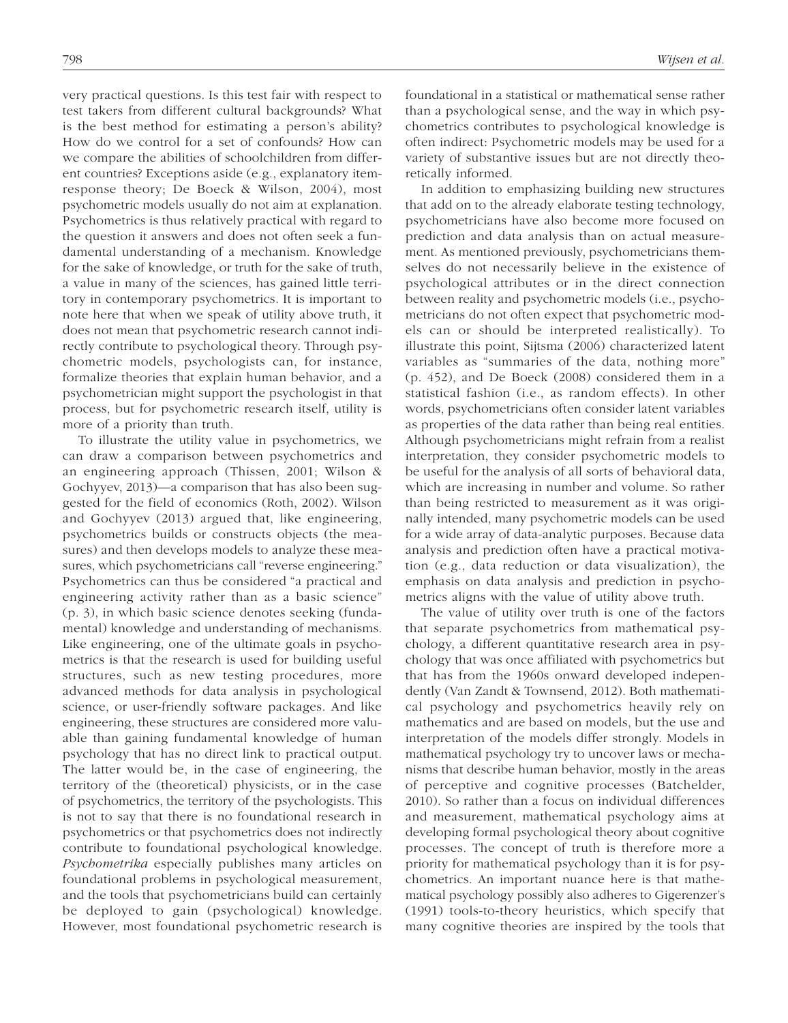very practical questions. Is this test fair with respect to test takers from different cultural backgrounds? What is the best method for estimating a person's ability? How do we control for a set of confounds? How can we compare the abilities of schoolchildren from different countries? Exceptions aside (e.g., explanatory itemresponse theory; De Boeck & Wilson, 2004), most psychometric models usually do not aim at explanation. Psychometrics is thus relatively practical with regard to the question it answers and does not often seek a fundamental understanding of a mechanism. Knowledge for the sake of knowledge, or truth for the sake of truth, a value in many of the sciences, has gained little territory in contemporary psychometrics. It is important to note here that when we speak of utility above truth, it does not mean that psychometric research cannot indirectly contribute to psychological theory. Through psychometric models, psychologists can, for instance, formalize theories that explain human behavior, and a psychometrician might support the psychologist in that process, but for psychometric research itself, utility is more of a priority than truth.

To illustrate the utility value in psychometrics, we can draw a comparison between psychometrics and an engineering approach (Thissen, 2001; Wilson & Gochyyev, 2013)—a comparison that has also been suggested for the field of economics (Roth, 2002). Wilson and Gochyyev (2013) argued that, like engineering, psychometrics builds or constructs objects (the measures) and then develops models to analyze these measures, which psychometricians call "reverse engineering." Psychometrics can thus be considered "a practical and engineering activity rather than as a basic science" (p. 3), in which basic science denotes seeking (fundamental) knowledge and understanding of mechanisms. Like engineering, one of the ultimate goals in psychometrics is that the research is used for building useful structures, such as new testing procedures, more advanced methods for data analysis in psychological science, or user-friendly software packages. And like engineering, these structures are considered more valuable than gaining fundamental knowledge of human psychology that has no direct link to practical output. The latter would be, in the case of engineering, the territory of the (theoretical) physicists, or in the case of psychometrics, the territory of the psychologists. This is not to say that there is no foundational research in psychometrics or that psychometrics does not indirectly contribute to foundational psychological knowledge. *Psychometrika* especially publishes many articles on foundational problems in psychological measurement, and the tools that psychometricians build can certainly be deployed to gain (psychological) knowledge. However, most foundational psychometric research is foundational in a statistical or mathematical sense rather than a psychological sense, and the way in which psychometrics contributes to psychological knowledge is often indirect: Psychometric models may be used for a variety of substantive issues but are not directly theoretically informed.

In addition to emphasizing building new structures that add on to the already elaborate testing technology, psychometricians have also become more focused on prediction and data analysis than on actual measurement. As mentioned previously, psychometricians themselves do not necessarily believe in the existence of psychological attributes or in the direct connection between reality and psychometric models (i.e., psychometricians do not often expect that psychometric models can or should be interpreted realistically). To illustrate this point, Sijtsma (2006) characterized latent variables as "summaries of the data, nothing more" (p. 452), and De Boeck (2008) considered them in a statistical fashion (i.e., as random effects). In other words, psychometricians often consider latent variables as properties of the data rather than being real entities. Although psychometricians might refrain from a realist interpretation, they consider psychometric models to be useful for the analysis of all sorts of behavioral data, which are increasing in number and volume. So rather than being restricted to measurement as it was originally intended, many psychometric models can be used for a wide array of data-analytic purposes. Because data analysis and prediction often have a practical motivation (e.g., data reduction or data visualization), the emphasis on data analysis and prediction in psychometrics aligns with the value of utility above truth.

The value of utility over truth is one of the factors that separate psychometrics from mathematical psychology, a different quantitative research area in psychology that was once affiliated with psychometrics but that has from the 1960s onward developed independently (Van Zandt & Townsend, 2012). Both mathematical psychology and psychometrics heavily rely on mathematics and are based on models, but the use and interpretation of the models differ strongly. Models in mathematical psychology try to uncover laws or mechanisms that describe human behavior, mostly in the areas of perceptive and cognitive processes (Batchelder, 2010). So rather than a focus on individual differences and measurement, mathematical psychology aims at developing formal psychological theory about cognitive processes. The concept of truth is therefore more a priority for mathematical psychology than it is for psychometrics. An important nuance here is that mathematical psychology possibly also adheres to Gigerenzer's (1991) tools-to-theory heuristics, which specify that many cognitive theories are inspired by the tools that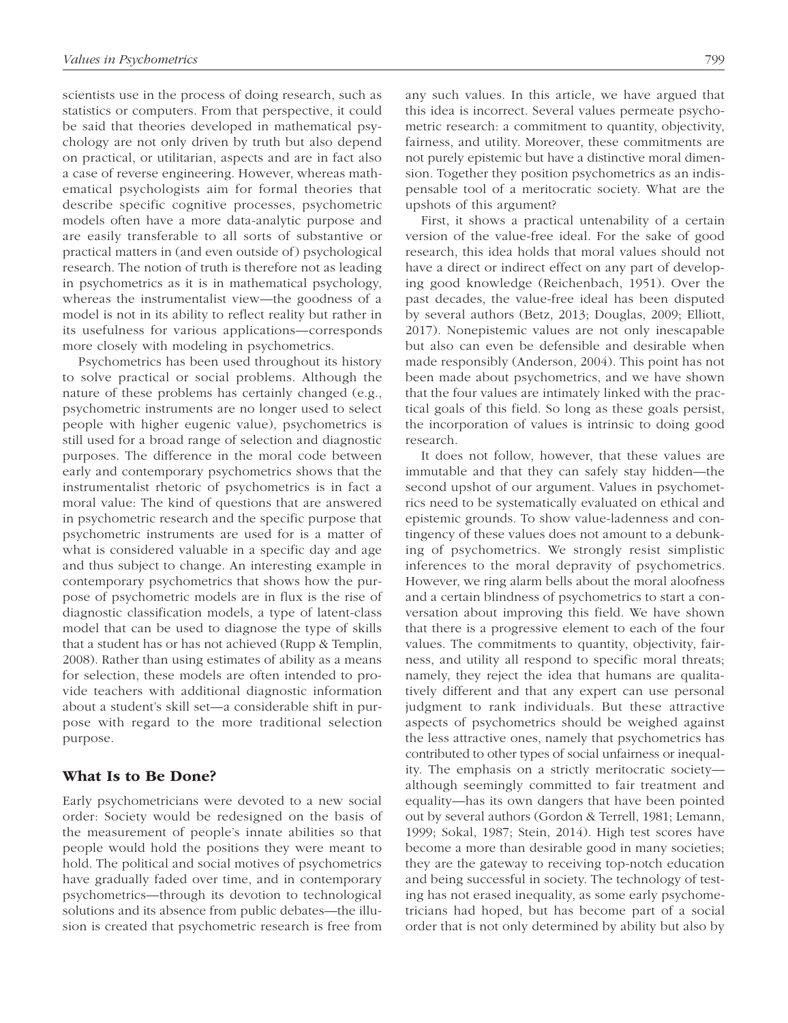scientists use in the process of doing research, such as statistics or computers. From that perspective, it could be said that theories developed in mathematical psychology are not only driven by truth but also depend on practical, or utilitarian, aspects and are in fact also a case of reverse engineering. However, whereas mathematical psychologists aim for formal theories that describe specific cognitive processes, psychometric models often have a more data-analytic purpose and are easily transferable to all sorts of substantive or practical matters in (and even outside of) psychological research. The notion of truth is therefore not as leading in psychometrics as it is in mathematical psychology, whereas the instrumentalist view—the goodness of a model is not in its ability to reflect reality but rather in its usefulness for various applications—corresponds more closely with modeling in psychometrics.

Psychometrics has been used throughout its history to solve practical or social problems. Although the nature of these problems has certainly changed (e.g., psychometric instruments are no longer used to select people with higher eugenic value), psychometrics is still used for a broad range of selection and diagnostic purposes. The difference in the moral code between early and contemporary psychometrics shows that the instrumentalist rhetoric of psychometrics is in fact a moral value: The kind of questions that are answered in psychometric research and the specific purpose that psychometric instruments are used for is a matter of what is considered valuable in a specific day and age and thus subject to change. An interesting example in contemporary psychometrics that shows how the purpose of psychometric models are in flux is the rise of diagnostic classification models, a type of latent-class model that can be used to diagnose the type of skills that a student has or has not achieved (Rupp & Templin, 2008). Rather than using estimates of ability as a means for selection, these models are often intended to provide teachers with additional diagnostic information about a student's skill set—a considerable shift in purpose with regard to the more traditional selection purpose.

## What Is to Be Done?

Early psychometricians were devoted to a new social order: Society would be redesigned on the basis of the measurement of people's innate abilities so that people would hold the positions they were meant to hold. The political and social motives of psychometrics have gradually faded over time, and in contemporary psychometrics—through its devotion to technological solutions and its absence from public debates—the illusion is created that psychometric research is free from any such values. In this article, we have argued that this idea is incorrect. Several values permeate psychometric research: a commitment to quantity, objectivity, fairness, and utility. Moreover, these commitments are not purely epistemic but have a distinctive moral dimension. Together they position psychometrics as an indispensable tool of a meritocratic society. What are the upshots of this argument?

First, it shows a practical untenability of a certain version of the value-free ideal. For the sake of good research, this idea holds that moral values should not have a direct or indirect effect on any part of developing good knowledge (Reichenbach, 1951). Over the past decades, the value-free ideal has been disputed by several authors (Betz, 2013; Douglas, 2009; Elliott, 2017). Nonepistemic values are not only inescapable but also can even be defensible and desirable when made responsibly (Anderson, 2004). This point has not been made about psychometrics, and we have shown that the four values are intimately linked with the practical goals of this field. So long as these goals persist, the incorporation of values is intrinsic to doing good research.

It does not follow, however, that these values are immutable and that they can safely stay hidden—the second upshot of our argument. Values in psychometrics need to be systematically evaluated on ethical and epistemic grounds. To show value-ladenness and contingency of these values does not amount to a debunking of psychometrics. We strongly resist simplistic inferences to the moral depravity of psychometrics. However, we ring alarm bells about the moral aloofness and a certain blindness of psychometrics to start a conversation about improving this field. We have shown that there is a progressive element to each of the four values. The commitments to quantity, objectivity, fairness, and utility all respond to specific moral threats; namely, they reject the idea that humans are qualitatively different and that any expert can use personal judgment to rank individuals. But these attractive aspects of psychometrics should be weighed against the less attractive ones, namely that psychometrics has contributed to other types of social unfairness or inequality. The emphasis on a strictly meritocratic society although seemingly committed to fair treatment and equality—has its own dangers that have been pointed out by several authors (Gordon & Terrell, 1981; Lemann, 1999; Sokal, 1987; Stein, 2014). High test scores have become a more than desirable good in many societies; they are the gateway to receiving top-notch education and being successful in society. The technology of testing has not erased inequality, as some early psychometricians had hoped, but has become part of a social order that is not only determined by ability but also by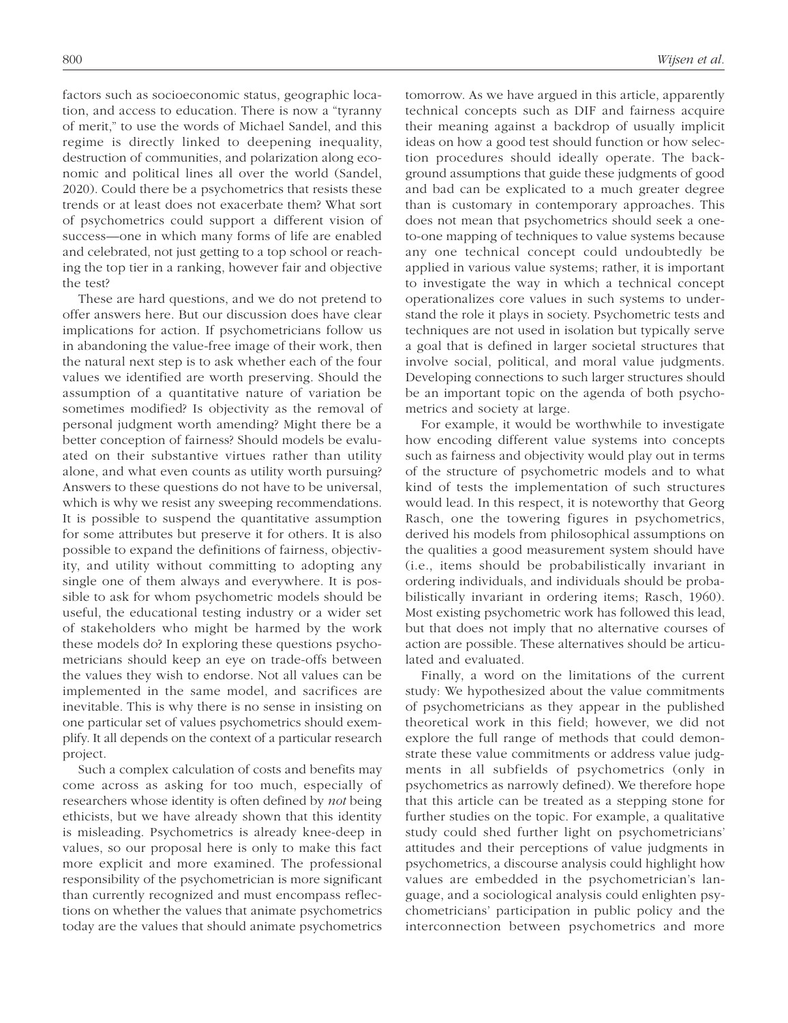factors such as socioeconomic status, geographic location, and access to education. There is now a "tyranny of merit," to use the words of Michael Sandel, and this regime is directly linked to deepening inequality, destruction of communities, and polarization along economic and political lines all over the world (Sandel, 2020). Could there be a psychometrics that resists these trends or at least does not exacerbate them? What sort of psychometrics could support a different vision of success—one in which many forms of life are enabled and celebrated, not just getting to a top school or reaching the top tier in a ranking, however fair and objective the test?

These are hard questions, and we do not pretend to offer answers here. But our discussion does have clear implications for action. If psychometricians follow us in abandoning the value-free image of their work, then the natural next step is to ask whether each of the four values we identified are worth preserving. Should the assumption of a quantitative nature of variation be sometimes modified? Is objectivity as the removal of personal judgment worth amending? Might there be a better conception of fairness? Should models be evaluated on their substantive virtues rather than utility alone, and what even counts as utility worth pursuing? Answers to these questions do not have to be universal, which is why we resist any sweeping recommendations. It is possible to suspend the quantitative assumption for some attributes but preserve it for others. It is also possible to expand the definitions of fairness, objectivity, and utility without committing to adopting any single one of them always and everywhere. It is possible to ask for whom psychometric models should be useful, the educational testing industry or a wider set of stakeholders who might be harmed by the work these models do? In exploring these questions psychometricians should keep an eye on trade-offs between the values they wish to endorse. Not all values can be implemented in the same model, and sacrifices are inevitable. This is why there is no sense in insisting on one particular set of values psychometrics should exemplify. It all depends on the context of a particular research project.

Such a complex calculation of costs and benefits may come across as asking for too much, especially of researchers whose identity is often defined by *not* being ethicists, but we have already shown that this identity is misleading. Psychometrics is already knee-deep in values, so our proposal here is only to make this fact more explicit and more examined. The professional responsibility of the psychometrician is more significant than currently recognized and must encompass reflections on whether the values that animate psychometrics today are the values that should animate psychometrics

tomorrow. As we have argued in this article, apparently technical concepts such as DIF and fairness acquire their meaning against a backdrop of usually implicit ideas on how a good test should function or how selection procedures should ideally operate. The background assumptions that guide these judgments of good and bad can be explicated to a much greater degree than is customary in contemporary approaches. This does not mean that psychometrics should seek a oneto-one mapping of techniques to value systems because any one technical concept could undoubtedly be applied in various value systems; rather, it is important to investigate the way in which a technical concept operationalizes core values in such systems to understand the role it plays in society. Psychometric tests and techniques are not used in isolation but typically serve a goal that is defined in larger societal structures that involve social, political, and moral value judgments. Developing connections to such larger structures should be an important topic on the agenda of both psychometrics and society at large.

For example, it would be worthwhile to investigate how encoding different value systems into concepts such as fairness and objectivity would play out in terms of the structure of psychometric models and to what kind of tests the implementation of such structures would lead. In this respect, it is noteworthy that Georg Rasch, one the towering figures in psychometrics, derived his models from philosophical assumptions on the qualities a good measurement system should have (i.e., items should be probabilistically invariant in ordering individuals, and individuals should be probabilistically invariant in ordering items; Rasch, 1960). Most existing psychometric work has followed this lead, but that does not imply that no alternative courses of action are possible. These alternatives should be articulated and evaluated.

Finally, a word on the limitations of the current study: We hypothesized about the value commitments of psychometricians as they appear in the published theoretical work in this field; however, we did not explore the full range of methods that could demonstrate these value commitments or address value judgments in all subfields of psychometrics (only in psychometrics as narrowly defined). We therefore hope that this article can be treated as a stepping stone for further studies on the topic. For example, a qualitative study could shed further light on psychometricians' attitudes and their perceptions of value judgments in psychometrics, a discourse analysis could highlight how values are embedded in the psychometrician's language, and a sociological analysis could enlighten psychometricians' participation in public policy and the interconnection between psychometrics and more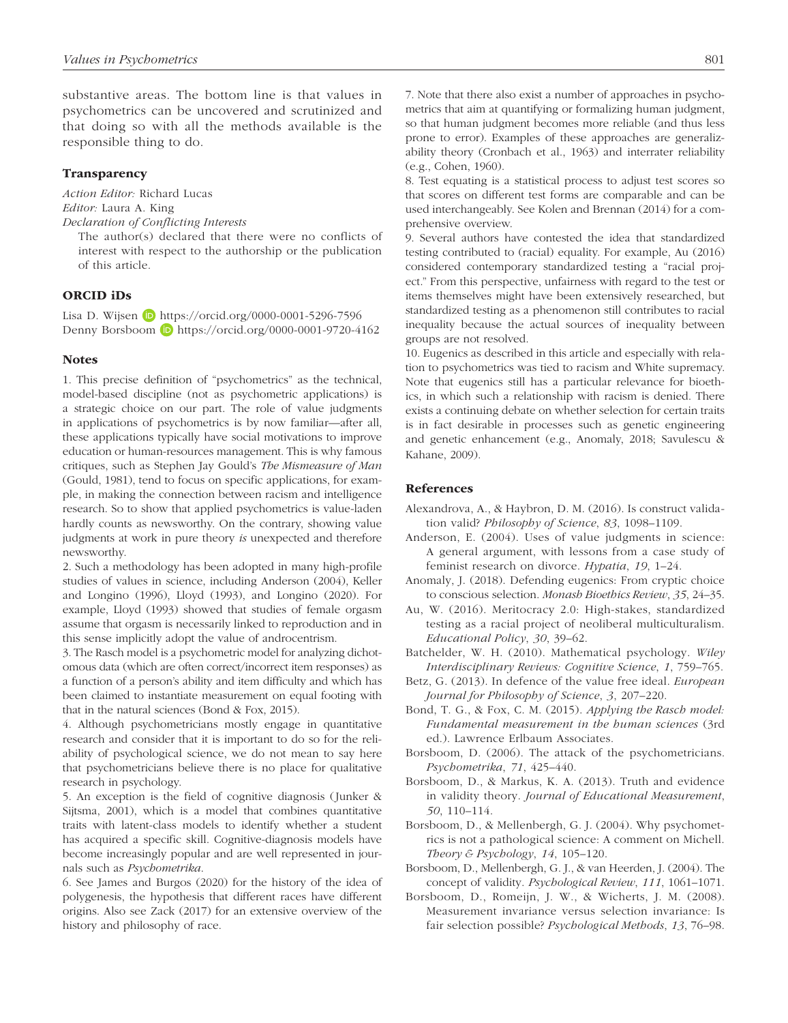substantive areas. The bottom line is that values in psychometrics can be uncovered and scrutinized and that doing so with all the methods available is the responsible thing to do.

#### **Transparency**

*Action Editor:* Richard Lucas *Editor:* Laura A. King

*Declaration of Conflicting Interests*

The author(s) declared that there were no conflicts of interest with respect to the authorship or the publication of this article.

## ORCID iDs

Lisa D. Wijsen D <https://orcid.org/0000-0001-5296-7596> Denny Borsboom **D** <https://orcid.org/0000-0001-9720-4162>

#### **Notes**

1. This precise definition of "psychometrics" as the technical, model-based discipline (not as psychometric applications) is a strategic choice on our part. The role of value judgments in applications of psychometrics is by now familiar—after all, these applications typically have social motivations to improve education or human-resources management. This is why famous critiques, such as Stephen Jay Gould's *The Mismeasure of Man* (Gould, 1981), tend to focus on specific applications, for example, in making the connection between racism and intelligence research. So to show that applied psychometrics is value-laden hardly counts as newsworthy. On the contrary, showing value judgments at work in pure theory *is* unexpected and therefore newsworthy.

2. Such a methodology has been adopted in many high-profile studies of values in science, including Anderson (2004), Keller and Longino (1996), Lloyd (1993), and Longino (2020). For example, Lloyd (1993) showed that studies of female orgasm assume that orgasm is necessarily linked to reproduction and in this sense implicitly adopt the value of androcentrism.

3. The Rasch model is a psychometric model for analyzing dichotomous data (which are often correct/incorrect item responses) as a function of a person's ability and item difficulty and which has been claimed to instantiate measurement on equal footing with that in the natural sciences (Bond & Fox, 2015).

4. Although psychometricians mostly engage in quantitative research and consider that it is important to do so for the reliability of psychological science, we do not mean to say here that psychometricians believe there is no place for qualitative research in psychology.

5. An exception is the field of cognitive diagnosis (Junker & Sijtsma, 2001), which is a model that combines quantitative traits with latent-class models to identify whether a student has acquired a specific skill. Cognitive-diagnosis models have become increasingly popular and are well represented in journals such as *Psychometrika*.

6. See James and Burgos (2020) for the history of the idea of polygenesis, the hypothesis that different races have different origins. Also see Zack (2017) for an extensive overview of the history and philosophy of race.

7. Note that there also exist a number of approaches in psychometrics that aim at quantifying or formalizing human judgment, so that human judgment becomes more reliable (and thus less prone to error). Examples of these approaches are generalizability theory (Cronbach et al., 1963) and interrater reliability (e.g., Cohen, 1960).

8. Test equating is a statistical process to adjust test scores so that scores on different test forms are comparable and can be used interchangeably. See Kolen and Brennan (2014) for a comprehensive overview.

9. Several authors have contested the idea that standardized testing contributed to (racial) equality. For example, Au (2016) considered contemporary standardized testing a "racial project." From this perspective, unfairness with regard to the test or items themselves might have been extensively researched, but standardized testing as a phenomenon still contributes to racial inequality because the actual sources of inequality between groups are not resolved.

10. Eugenics as described in this article and especially with relation to psychometrics was tied to racism and White supremacy. Note that eugenics still has a particular relevance for bioethics, in which such a relationship with racism is denied. There exists a continuing debate on whether selection for certain traits is in fact desirable in processes such as genetic engineering and genetic enhancement (e.g., Anomaly, 2018; Savulescu & Kahane, 2009).

## References

- Alexandrova, A., & Haybron, D. M. (2016). Is construct validation valid? *Philosophy of Science*, *83*, 1098–1109.
- Anderson, E. (2004). Uses of value judgments in science: A general argument, with lessons from a case study of feminist research on divorce. *Hypatia*, *19*, 1–24.
- Anomaly, J. (2018). Defending eugenics: From cryptic choice to conscious selection. *Monash Bioethics Review*, *35*, 24–35.
- Au, W. (2016). Meritocracy 2.0: High-stakes, standardized testing as a racial project of neoliberal multiculturalism. *Educational Policy*, *30*, 39–62.

Batchelder, W. H. (2010). Mathematical psychology. *Wiley Interdisciplinary Reviews: Cognitive Science*, *1*, 759–765.

Betz, G. (2013). In defence of the value free ideal. *European Journal for Philosophy of Science*, *3*, 207–220.

Bond, T. G., & Fox, C. M. (2015). *Applying the Rasch model: Fundamental measurement in the human sciences* (3rd ed.). Lawrence Erlbaum Associates.

Borsboom, D. (2006). The attack of the psychometricians. *Psychometrika*, *71*, 425–440.

- Borsboom, D., & Markus, K. A. (2013). Truth and evidence in validity theory. *Journal of Educational Measurement*, *50*, 110–114.
- Borsboom, D., & Mellenbergh, G. J. (2004). Why psychometrics is not a pathological science: A comment on Michell. *Theory & Psychology*, *14*, 105–120.
- Borsboom, D., Mellenbergh, G. J., & van Heerden, J. (2004). The concept of validity. *Psychological Review*, *111*, 1061–1071.
- Borsboom, D., Romeijn, J. W., & Wicherts, J. M. (2008). Measurement invariance versus selection invariance: Is fair selection possible? *Psychological Methods*, *13*, 76–98.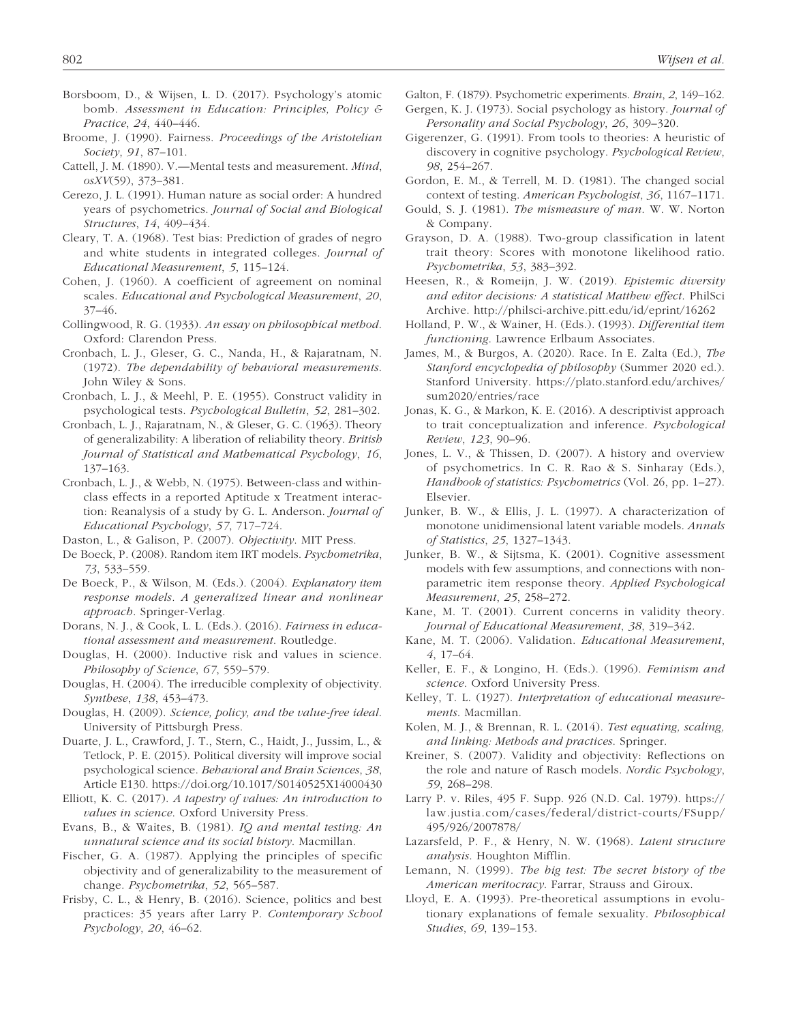- Borsboom, D., & Wijsen, L. D. (2017). Psychology's atomic bomb. *Assessment in Education: Principles, Policy & Practice*, *24*, 440–446.
- Broome, J. (1990). Fairness. *Proceedings of the Aristotelian Society*, *91*, 87–101.
- Cattell, J. M. (1890). V.—Mental tests and measurement. *Mind*, *osXV*(59), 373–381.
- Cerezo, J. L. (1991). Human nature as social order: A hundred years of psychometrics. *Journal of Social and Biological Structures*, *14*, 409–434.
- Cleary, T. A. (1968). Test bias: Prediction of grades of negro and white students in integrated colleges. *Journal of Educational Measurement*, *5*, 115–124.
- Cohen, J. (1960). A coefficient of agreement on nominal scales. *Educational and Psychological Measurement*, *20*, 37–46.
- Collingwood, R. G. (1933). *An essay on philosophical method*. Oxford: Clarendon Press.
- Cronbach, L. J., Gleser, G. C., Nanda, H., & Rajaratnam, N. (1972). *The dependability of behavioral measurements*. John Wiley & Sons.
- Cronbach, L. J., & Meehl, P. E. (1955). Construct validity in psychological tests. *Psychological Bulletin*, *52*, 281–302.
- Cronbach, L. J., Rajaratnam, N., & Gleser, G. C. (1963). Theory of generalizability: A liberation of reliability theory. *British Journal of Statistical and Mathematical Psychology*, *16*, 137–163.
- Cronbach, L. J., & Webb, N. (1975). Between-class and withinclass effects in a reported Aptitude x Treatment interaction: Reanalysis of a study by G. L. Anderson. *Journal of Educational Psychology*, *57*, 717–724.
- Daston, L., & Galison, P. (2007). *Objectivity*. MIT Press.
- De Boeck, P. (2008). Random item IRT models. *Psychometrika*, *73*, 533–559.
- De Boeck, P., & Wilson, M. (Eds.). (2004). *Explanatory item response models. A generalized linear and nonlinear approach*. Springer-Verlag.
- Dorans, N. J., & Cook, L. L. (Eds.). (2016). *Fairness in educational assessment and measurement*. Routledge.
- Douglas, H. (2000). Inductive risk and values in science. *Philosophy of Science*, *67*, 559–579.
- Douglas, H. (2004). The irreducible complexity of objectivity. *Synthese*, *138*, 453–473.
- Douglas, H. (2009). *Science, policy, and the value-free ideal*. University of Pittsburgh Press.
- Duarte, J. L., Crawford, J. T., Stern, C., Haidt, J., Jussim, L., & Tetlock, P. E. (2015). Political diversity will improve social psychological science. *Behavioral and Brain Sciences*, *38*, Article E130.<https://doi.org/10.1017/S0140525X14000430>
- Elliott, K. C. (2017). *A tapestry of values: An introduction to values in science*. Oxford University Press.
- Evans, B., & Waites, B. (1981). *IQ and mental testing: An unnatural science and its social history*. Macmillan.
- Fischer, G. A. (1987). Applying the principles of specific objectivity and of generalizability to the measurement of change. *Psychometrika*, *52*, 565–587.
- Frisby, C. L., & Henry, B. (2016). Science, politics and best practices: 35 years after Larry P. *Contemporary School Psychology*, *20*, 46–62.
- Galton, F. (1879). Psychometric experiments. *Brain*, *2*, 149–162.
- Gergen, K. J. (1973). Social psychology as history. *Journal of Personality and Social Psychology*, *26*, 309–320.
- Gigerenzer, G. (1991). From tools to theories: A heuristic of discovery in cognitive psychology. *Psychological Review*, *98*, 254–267.
- Gordon, E. M., & Terrell, M. D. (1981). The changed social context of testing. *American Psychologist*, *36*, 1167–1171.
- Gould, S. J. (1981). *The mismeasure of man*. W. W. Norton & Company.
- Grayson, D. A. (1988). Two-group classification in latent trait theory: Scores with monotone likelihood ratio. *Psychometrika*, *53*, 383–392.
- Heesen, R., & Romeijn, J. W. (2019). *Epistemic diversity and editor decisions: A statistical Matthew effect*. PhilSci Archive. <http://philsci-archive.pitt.edu/id/eprint/16262>
- Holland, P. W., & Wainer, H. (Eds.). (1993). *Differential item functioning*. Lawrence Erlbaum Associates.
- James, M., & Burgos, A. (2020). Race. In E. Zalta (Ed.), *The Stanford encyclopedia of philosophy* (Summer 2020 ed.). Stanford University. [https://plato.stanford.edu/archives/](https://plato.stanford.edu/archives/sum2020/entries/race) [sum2020/entries/race](https://plato.stanford.edu/archives/sum2020/entries/race)
- Jonas, K. G., & Markon, K. E. (2016). A descriptivist approach to trait conceptualization and inference. *Psychological Review*, *123*, 90–96.
- Jones, L. V., & Thissen, D. (2007). A history and overview of psychometrics. In C. R. Rao & S. Sinharay (Eds.), *Handbook of statistics: Psychometrics* (Vol. 26, pp. 1–27). Elsevier.
- Junker, B. W., & Ellis, J. L. (1997). A characterization of monotone unidimensional latent variable models. *Annals of Statistics*, *25*, 1327–1343.
- Junker, B. W., & Sijtsma, K. (2001). Cognitive assessment models with few assumptions, and connections with nonparametric item response theory. *Applied Psychological Measurement*, *25*, 258–272.
- Kane, M. T. (2001). Current concerns in validity theory. *Journal of Educational Measurement*, *38*, 319–342.
- Kane, M. T. (2006). Validation. *Educational Measurement*, *4*, 17–64.
- Keller, E. F., & Longino, H. (Eds.). (1996). *Feminism and science*. Oxford University Press.
- Kelley, T. L. (1927). *Interpretation of educational measurements*. Macmillan.
- Kolen, M. J., & Brennan, R. L. (2014). *Test equating, scaling, and linking: Methods and practices*. Springer.
- Kreiner, S. (2007). Validity and objectivity: Reflections on the role and nature of Rasch models. *Nordic Psychology*, *59*, 268–298.
- Larry P. v. Riles, 495 F. Supp. 926 (N.D. Cal. 1979). [https://](https://law.justia.com/cases/federal/district-courts/FSupp/495/926/2007878/) [law.justia.com/cases/federal/district-courts/FSupp/](https://law.justia.com/cases/federal/district-courts/FSupp/495/926/2007878/) [495/926/2007878/](https://law.justia.com/cases/federal/district-courts/FSupp/495/926/2007878/)
- Lazarsfeld, P. F., & Henry, N. W. (1968). *Latent structure analysis*. Houghton Mifflin.
- Lemann, N. (1999). *The big test: The secret history of the American meritocracy*. Farrar, Strauss and Giroux.
- Lloyd, E. A. (1993). Pre-theoretical assumptions in evolutionary explanations of female sexuality. *Philosophical Studies*, *69*, 139–153.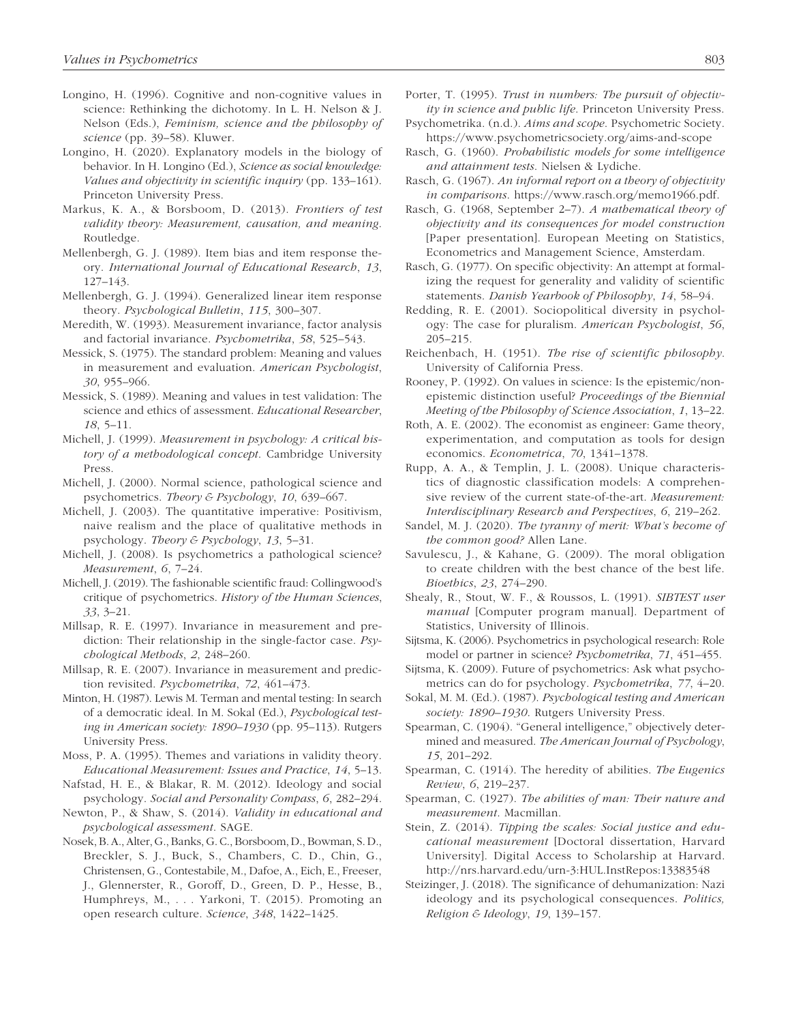- Longino, H. (1996). Cognitive and non-cognitive values in science: Rethinking the dichotomy. In L. H. Nelson & J. Nelson (Eds.), *Feminism, science and the philosophy of science* (pp. 39–58). Kluwer.
- Longino, H. (2020). Explanatory models in the biology of behavior. In H. Longino (Ed.), *Science as social knowledge: Values and objectivity in scientific inquiry* (pp. 133–161). Princeton University Press.
- Markus, K. A., & Borsboom, D. (2013). *Frontiers of test validity theory: Measurement, causation, and meaning*. Routledge.
- Mellenbergh, G. J. (1989). Item bias and item response theory. *International Journal of Educational Research*, *13*, 127–143.
- Mellenbergh, G. J. (1994). Generalized linear item response theory. *Psychological Bulletin*, *115*, 300–307.
- Meredith, W. (1993). Measurement invariance, factor analysis and factorial invariance. *Psychometrika*, *58*, 525–543.
- Messick, S. (1975). The standard problem: Meaning and values in measurement and evaluation. *American Psychologist*, *30*, 955–966.
- Messick, S. (1989). Meaning and values in test validation: The science and ethics of assessment. *Educational Researcher*, *18*, 5–11.
- Michell, J. (1999). *Measurement in psychology: A critical history of a methodological concept*. Cambridge University Press.
- Michell, J. (2000). Normal science, pathological science and psychometrics. *Theory & Psychology*, *10*, 639–667.
- Michell, J. (2003). The quantitative imperative: Positivism, naive realism and the place of qualitative methods in psychology. *Theory & Psychology*, *13*, 5–31.
- Michell, J. (2008). Is psychometrics a pathological science? *Measurement*, *6*, 7–24.
- Michell, J. (2019). The fashionable scientific fraud: Collingwood's critique of psychometrics. *History of the Human Sciences*, *33*, 3–21.
- Millsap, R. E. (1997). Invariance in measurement and prediction: Their relationship in the single-factor case. *Psychological Methods*, *2*, 248–260.
- Millsap, R. E. (2007). Invariance in measurement and prediction revisited. *Psychometrika*, *72*, 461–473.
- Minton, H. (1987). Lewis M. Terman and mental testing: In search of a democratic ideal. In M. Sokal (Ed.), *Psychological testing in American society: 1890–1930* (pp. 95–113). Rutgers University Press.
- Moss, P. A. (1995). Themes and variations in validity theory. *Educational Measurement: Issues and Practice*, *14*, 5–13.
- Nafstad, H. E., & Blakar, R. M. (2012). Ideology and social psychology. *Social and Personality Compass*, *6*, 282–294.
- Newton, P., & Shaw, S. (2014). *Validity in educational and psychological assessment*. SAGE.
- Nosek, B. A., Alter, G., Banks, G. C., Borsboom, D., Bowman, S. D., Breckler, S. J., Buck, S., Chambers, C. D., Chin, G., Christensen, G., Contestabile, M., Dafoe, A., Eich, E., Freeser, J., Glennerster, R., Goroff, D., Green, D. P., Hesse, B., Humphreys, M., . . . Yarkoni, T. (2015). Promoting an open research culture. *Science*, *348*, 1422–1425.
- Porter, T. (1995). *Trust in numbers: The pursuit of objectivity in science and public life*. Princeton University Press.
- Psychometrika. (n.d.). *Aims and scope*. Psychometric Society. <https://www.psychometricsociety.org/aims-and-scope>
- Rasch, G. (1960). *Probabilistic models for some intelligence and attainment tests*. Nielsen & Lydiche.
- Rasch, G. (1967). *An informal report on a theory of objectivity in comparisons*. [https://www.rasch.org/memo1966.pdf.](https://www.rasch.org/memo1966.pdf)
- Rasch, G. (1968, September 2–7). *A mathematical theory of objectivity and its consequences for model construction* [Paper presentation]. European Meeting on Statistics, Econometrics and Management Science, Amsterdam.
- Rasch, G. (1977). On specific objectivity: An attempt at formalizing the request for generality and validity of scientific statements. *Danish Yearbook of Philosophy*, *14*, 58–94.
- Redding, R. E. (2001). Sociopolitical diversity in psychology: The case for pluralism. *American Psychologist*, *56*, 205–215.
- Reichenbach, H. (1951). *The rise of scientific philosophy*. University of California Press.
- Rooney, P. (1992). On values in science: Is the epistemic/nonepistemic distinction useful? *Proceedings of the Biennial Meeting of the Philosophy of Science Association*, *1*, 13–22.
- Roth, A. E. (2002). The economist as engineer: Game theory, experimentation, and computation as tools for design economics. *Econometrica*, *70*, 1341–1378.
- Rupp, A. A., & Templin, J. L. (2008). Unique characteristics of diagnostic classification models: A comprehensive review of the current state-of-the-art. *Measurement: Interdisciplinary Research and Perspectives*, *6*, 219–262.
- Sandel, M. J. (2020). *The tyranny of merit: What's become of the common good?* Allen Lane.
- Savulescu, J., & Kahane, G. (2009). The moral obligation to create children with the best chance of the best life. *Bioethics*, *23*, 274–290.
- Shealy, R., Stout, W. F., & Roussos, L. (1991). *SIBTEST user manual* [Computer program manual]. Department of Statistics, University of Illinois.
- Sijtsma, K. (2006). Psychometrics in psychological research: Role model or partner in science? *Psychometrika*, *71*, 451–455.
- Sijtsma, K. (2009). Future of psychometrics: Ask what psychometrics can do for psychology. *Psychometrika*, *77*, 4–20.
- Sokal, M. M. (Ed.). (1987). *Psychological testing and American society: 1890–1930*. Rutgers University Press.
- Spearman, C. (1904). "General intelligence," objectively determined and measured. *The American Journal of Psychology*, *15*, 201–292.
- Spearman, C. (1914). The heredity of abilities. *The Eugenics Review*, *6*, 219–237.
- Spearman, C. (1927). *The abilities of man: Their nature and measurement*. Macmillan.
- Stein, Z. (2014). *Tipping the scales: Social justice and educational measurement* [Doctoral dissertation, Harvard University]. Digital Access to Scholarship at Harvard. <http://nrs.harvard.edu/urn-3:HUL.InstRepos:13383548>
- Steizinger, J. (2018). The significance of dehumanization: Nazi ideology and its psychological consequences. *Politics, Religion & Ideology*, *19*, 139–157.